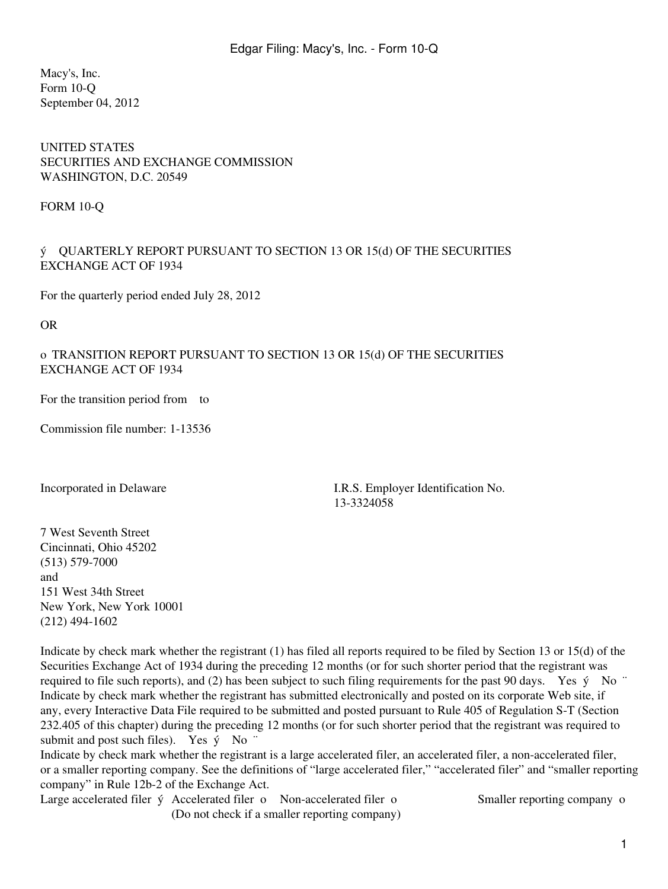Macy's, Inc. Form 10-Q September 04, 2012

#### UNITED STATES SECURITIES AND EXCHANGE COMMISSION WASHINGTON, D.C. 20549

FORM 10-Q

#### ý QUARTERLY REPORT PURSUANT TO SECTION 13 OR 15(d) OF THE SECURITIES EXCHANGE ACT OF 1934

For the quarterly period ended July 28, 2012

OR

### o TRANSITION REPORT PURSUANT TO SECTION 13 OR 15(d) OF THE SECURITIES EXCHANGE ACT OF 1934

For the transition period from to

Commission file number: 1-13536

Incorporated in Delaware I.R.S. Employer Identification No. 13-3324058

7 West Seventh Street Cincinnati, Ohio 45202 (513) 579-7000 and 151 West 34th Street New York, New York 10001 (212) 494-1602

Indicate by check mark whether the registrant (1) has filed all reports required to be filed by Section 13 or 15(d) of the Securities Exchange Act of 1934 during the preceding 12 months (or for such shorter period that the registrant was required to file such reports), and (2) has been subject to such filing requirements for the past 90 days. Yes  $\acute{v}$  No  $\degree$ Indicate by check mark whether the registrant has submitted electronically and posted on its corporate Web site, if any, every Interactive Data File required to be submitted and posted pursuant to Rule 405 of Regulation S-T (Section 232.405 of this chapter) during the preceding 12 months (or for such shorter period that the registrant was required to submit and post such files). Yes  $\dot{y}$  No  $\dddot{y}$ 

Indicate by check mark whether the registrant is a large accelerated filer, an accelerated filer, a non-accelerated filer, or a smaller reporting company. See the definitions of "large accelerated filer," "accelerated filer" and "smaller reporting company" in Rule 12b-2 of the Exchange Act.

Large accelerated filer  $\acute{y}$  Accelerated filer o Non-accelerated filer o Smaller reporting company o (Do not check if a smaller reporting company)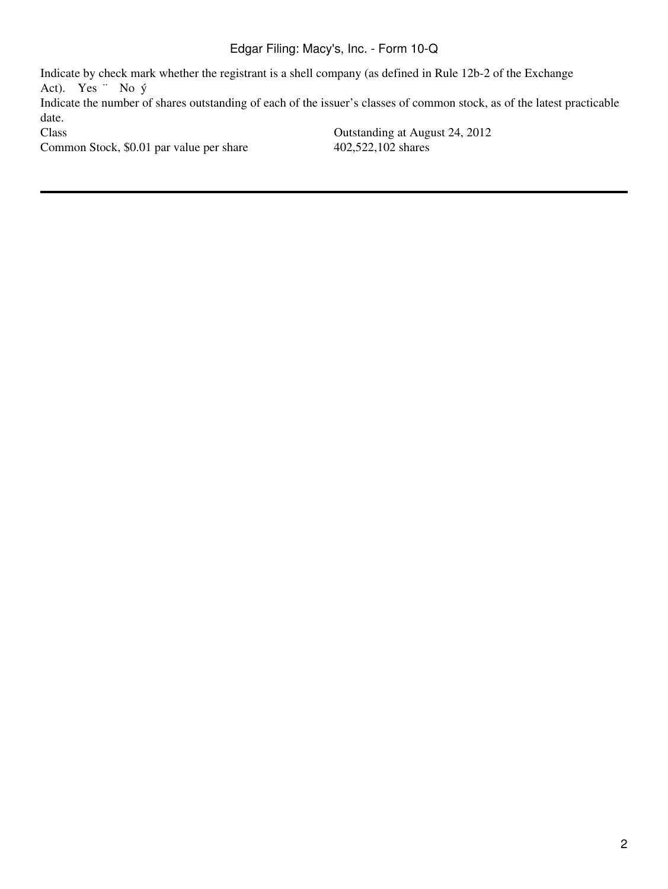Indicate by check mark whether the registrant is a shell company (as defined in Rule 12b-2 of the Exchange Act). Yes ¨ No ý Indicate the number of shares outstanding of each of the issuer's classes of common stock, as of the latest practicable date.<br>Class Outstanding at August 24, 2012 Common Stock, \$0.01 par value per share 402,522,102 shares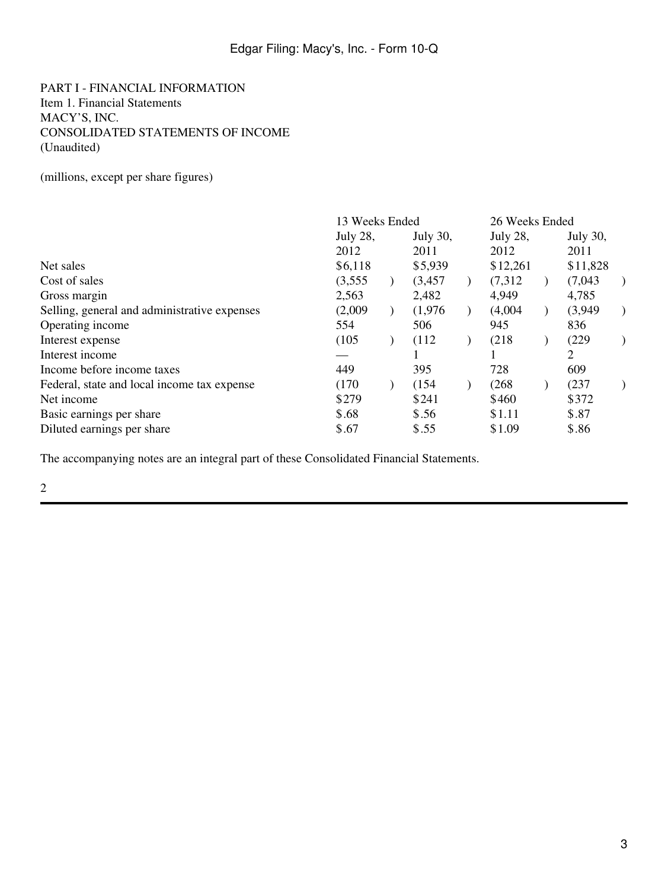PART I - FINANCIAL INFORMATION Item 1. Financial Statements MACY'S, INC. CONSOLIDATED STATEMENTS OF INCOME (Unaudited)

(millions, except per share figures)

|                                              | 13 Weeks Ended  |  |          | 26 Weeks Ended |             |  |          |  |
|----------------------------------------------|-----------------|--|----------|----------------|-------------|--|----------|--|
|                                              | <b>July 28,</b> |  | July 30, |                | July $28$ , |  | July 30, |  |
|                                              | 2012            |  | 2011     |                | 2012        |  | 2011     |  |
| Net sales                                    | \$6,118         |  | \$5,939  |                | \$12,261    |  | \$11,828 |  |
| Cost of sales                                | (3,555)         |  | (3, 457) |                | (7,312)     |  | (7,043)  |  |
| Gross margin                                 | 2,563           |  | 2,482    |                | 4,949       |  | 4,785    |  |
| Selling, general and administrative expenses | (2,009)         |  | (1,976)  |                | (4,004)     |  | (3,949)  |  |
| Operating income                             | 554             |  | 506      |                | 945         |  | 836      |  |
| Interest expense                             | (105)           |  | (112)    |                | (218)       |  | (229)    |  |
| Interest income                              |                 |  |          |                |             |  | 2        |  |
| Income before income taxes                   | 449             |  | 395      |                | 728         |  | 609      |  |
| Federal, state and local income tax expense  | (170)           |  | (154)    |                | (268)       |  | (237)    |  |
| Net income                                   | \$279           |  | \$241    |                | \$460       |  | \$372    |  |
| Basic earnings per share                     | \$.68           |  | \$.56    |                | \$1.11      |  | \$.87    |  |
| Diluted earnings per share                   | \$.67           |  | \$.55    |                | \$1.09      |  | \$.86    |  |

The accompanying notes are an integral part of these Consolidated Financial Statements.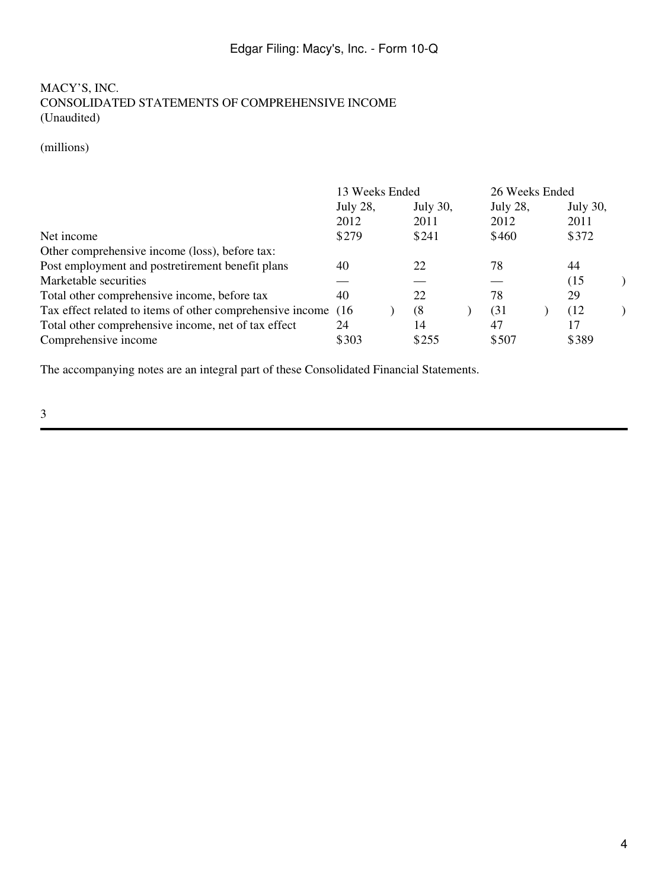### MACY'S, INC. CONSOLIDATED STATEMENTS OF COMPREHENSIVE INCOME (Unaudited)

### (millions)

|                                                                | 13 Weeks Ended |  |                 | 26 Weeks Ended |  |          |  |
|----------------------------------------------------------------|----------------|--|-----------------|----------------|--|----------|--|
|                                                                | July 28,       |  | <b>July 30,</b> | July 28,       |  | July 30, |  |
|                                                                | 2012           |  | 2011            | 2012           |  | 2011     |  |
| Net income                                                     | \$279          |  | \$241           | \$460          |  | \$372    |  |
| Other comprehensive income (loss), before tax:                 |                |  |                 |                |  |          |  |
| Post employment and postretirement benefit plans               | 40             |  | 22              | 78             |  | 44       |  |
| Marketable securities                                          |                |  |                 |                |  | (15)     |  |
| Total other comprehensive income, before tax                   | 40             |  | 22              | 78             |  | 29       |  |
| Tax effect related to items of other comprehensive income (16) |                |  | (8)             | (31            |  | (12)     |  |
| Total other comprehensive income, net of tax effect            | 24             |  | 14              | 47             |  | 17       |  |
| Comprehensive income                                           | \$303          |  | \$255           | \$507          |  | \$389    |  |

The accompanying notes are an integral part of these Consolidated Financial Statements.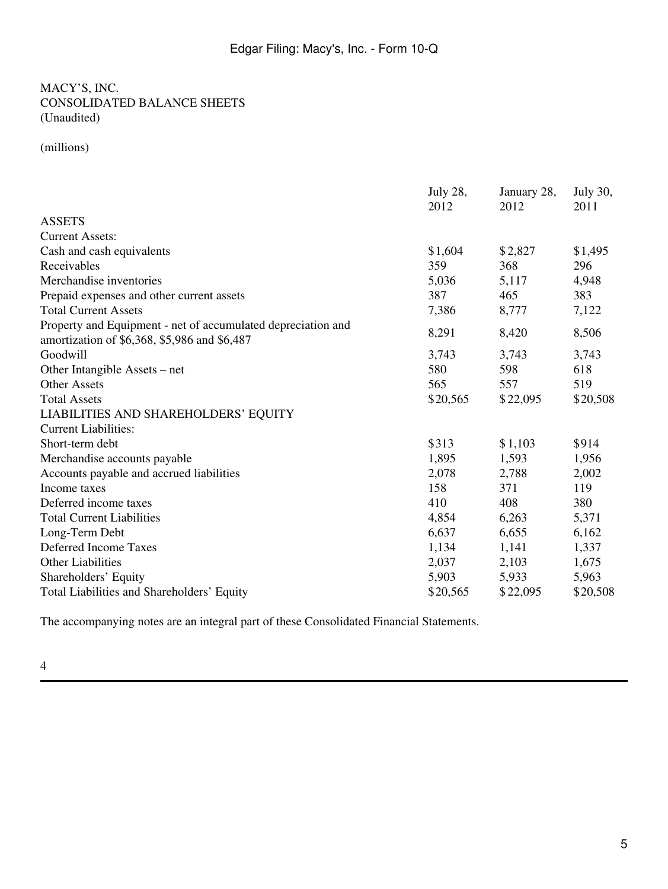### MACY'S, INC. CONSOLIDATED BALANCE SHEETS (Unaudited)

(millions)

|                                                                                                              | July 28, | January 28, | July 30, |
|--------------------------------------------------------------------------------------------------------------|----------|-------------|----------|
|                                                                                                              | 2012     | 2012        | 2011     |
| <b>ASSETS</b>                                                                                                |          |             |          |
| <b>Current Assets:</b>                                                                                       |          |             |          |
| Cash and cash equivalents                                                                                    | \$1,604  | \$2,827     | \$1,495  |
| Receivables                                                                                                  | 359      | 368         | 296      |
| Merchandise inventories                                                                                      | 5,036    | 5,117       | 4,948    |
| Prepaid expenses and other current assets                                                                    | 387      | 465         | 383      |
| <b>Total Current Assets</b>                                                                                  | 7,386    | 8,777       | 7,122    |
| Property and Equipment - net of accumulated depreciation and<br>amortization of \$6,368, \$5,986 and \$6,487 | 8,291    | 8,420       | 8,506    |
| Goodwill                                                                                                     | 3,743    | 3,743       | 3,743    |
| Other Intangible Assets – net                                                                                | 580      | 598         | 618      |
| <b>Other Assets</b>                                                                                          | 565      | 557         | 519      |
| <b>Total Assets</b>                                                                                          | \$20,565 | \$22,095    | \$20,508 |
| LIABILITIES AND SHAREHOLDERS' EQUITY                                                                         |          |             |          |
| <b>Current Liabilities:</b>                                                                                  |          |             |          |
| Short-term debt                                                                                              | \$313    | \$1,103     | \$914    |
| Merchandise accounts payable                                                                                 | 1,895    | 1,593       | 1,956    |
| Accounts payable and accrued liabilities                                                                     | 2,078    | 2,788       | 2,002    |
| Income taxes                                                                                                 | 158      | 371         | 119      |
| Deferred income taxes                                                                                        | 410      | 408         | 380      |
| <b>Total Current Liabilities</b>                                                                             | 4,854    | 6,263       | 5,371    |
| Long-Term Debt                                                                                               | 6,637    | 6,655       | 6,162    |
| Deferred Income Taxes                                                                                        | 1,134    | 1,141       | 1,337    |
| <b>Other Liabilities</b>                                                                                     | 2,037    | 2,103       | 1,675    |
| Shareholders' Equity                                                                                         | 5,903    | 5,933       | 5,963    |
| Total Liabilities and Shareholders' Equity                                                                   | \$20,565 | \$22,095    | \$20,508 |

The accompanying notes are an integral part of these Consolidated Financial Statements.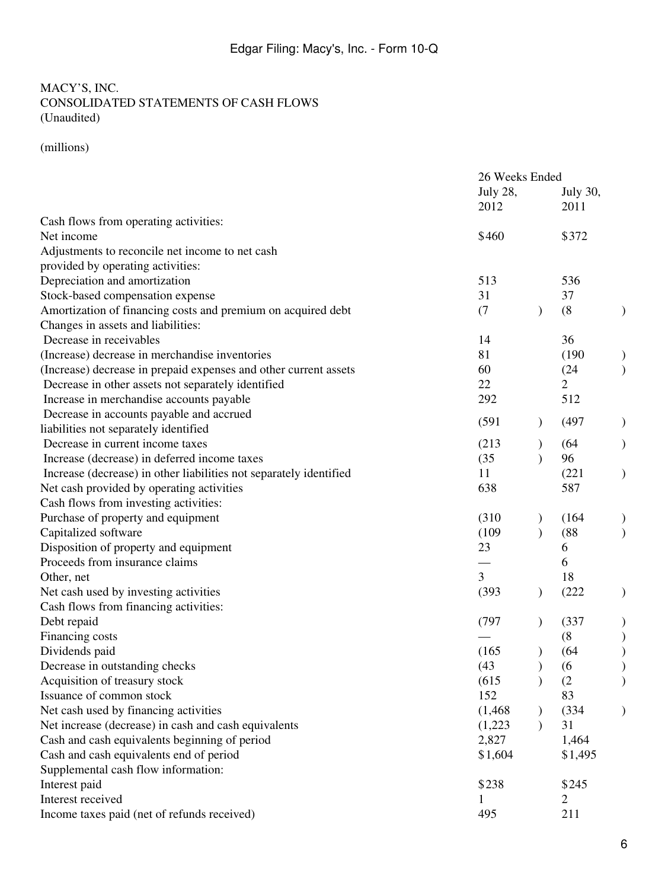### MACY'S, INC. CONSOLIDATED STATEMENTS OF CASH FLOWS (Unaudited)

(millions)

| <b>July 28,</b><br>July 30,<br>2012<br>2011<br>Cash flows from operating activities:<br>\$460<br>\$372<br>Net income<br>Adjustments to reconcile net income to net cash<br>provided by operating activities:<br>Depreciation and amortization<br>513<br>536<br>37<br>Stock-based compensation expense<br>31<br>Amortization of financing costs and premium on acquired debt<br>(8)<br>(7)<br>$\lambda$<br>Changes in assets and liabilities:<br>Decrease in receivables<br>36<br>14<br>(Increase) decrease in merchandise inventories<br>81<br>(190)<br>(Increase) decrease in prepaid expenses and other current assets<br>60<br>(24)<br>$\overline{2}$<br>22<br>Decrease in other assets not separately identified<br>512<br>Increase in merchandise accounts payable<br>292<br>Decrease in accounts payable and accrued<br>(591)<br>(497)<br>liabilities not separately identified<br>Decrease in current income taxes<br>(213)<br>(64)<br>96<br>Increase (decrease) in deferred income taxes<br>(35)<br>Increase (decrease) in other liabilities not separately identified<br>(221)<br>11<br>Net cash provided by operating activities<br>638<br>587 |
|----------------------------------------------------------------------------------------------------------------------------------------------------------------------------------------------------------------------------------------------------------------------------------------------------------------------------------------------------------------------------------------------------------------------------------------------------------------------------------------------------------------------------------------------------------------------------------------------------------------------------------------------------------------------------------------------------------------------------------------------------------------------------------------------------------------------------------------------------------------------------------------------------------------------------------------------------------------------------------------------------------------------------------------------------------------------------------------------------------------------------------------------------------|
|                                                                                                                                                                                                                                                                                                                                                                                                                                                                                                                                                                                                                                                                                                                                                                                                                                                                                                                                                                                                                                                                                                                                                          |
|                                                                                                                                                                                                                                                                                                                                                                                                                                                                                                                                                                                                                                                                                                                                                                                                                                                                                                                                                                                                                                                                                                                                                          |
|                                                                                                                                                                                                                                                                                                                                                                                                                                                                                                                                                                                                                                                                                                                                                                                                                                                                                                                                                                                                                                                                                                                                                          |
|                                                                                                                                                                                                                                                                                                                                                                                                                                                                                                                                                                                                                                                                                                                                                                                                                                                                                                                                                                                                                                                                                                                                                          |
|                                                                                                                                                                                                                                                                                                                                                                                                                                                                                                                                                                                                                                                                                                                                                                                                                                                                                                                                                                                                                                                                                                                                                          |
|                                                                                                                                                                                                                                                                                                                                                                                                                                                                                                                                                                                                                                                                                                                                                                                                                                                                                                                                                                                                                                                                                                                                                          |
|                                                                                                                                                                                                                                                                                                                                                                                                                                                                                                                                                                                                                                                                                                                                                                                                                                                                                                                                                                                                                                                                                                                                                          |
|                                                                                                                                                                                                                                                                                                                                                                                                                                                                                                                                                                                                                                                                                                                                                                                                                                                                                                                                                                                                                                                                                                                                                          |
|                                                                                                                                                                                                                                                                                                                                                                                                                                                                                                                                                                                                                                                                                                                                                                                                                                                                                                                                                                                                                                                                                                                                                          |
|                                                                                                                                                                                                                                                                                                                                                                                                                                                                                                                                                                                                                                                                                                                                                                                                                                                                                                                                                                                                                                                                                                                                                          |
|                                                                                                                                                                                                                                                                                                                                                                                                                                                                                                                                                                                                                                                                                                                                                                                                                                                                                                                                                                                                                                                                                                                                                          |
|                                                                                                                                                                                                                                                                                                                                                                                                                                                                                                                                                                                                                                                                                                                                                                                                                                                                                                                                                                                                                                                                                                                                                          |
|                                                                                                                                                                                                                                                                                                                                                                                                                                                                                                                                                                                                                                                                                                                                                                                                                                                                                                                                                                                                                                                                                                                                                          |
|                                                                                                                                                                                                                                                                                                                                                                                                                                                                                                                                                                                                                                                                                                                                                                                                                                                                                                                                                                                                                                                                                                                                                          |
|                                                                                                                                                                                                                                                                                                                                                                                                                                                                                                                                                                                                                                                                                                                                                                                                                                                                                                                                                                                                                                                                                                                                                          |
|                                                                                                                                                                                                                                                                                                                                                                                                                                                                                                                                                                                                                                                                                                                                                                                                                                                                                                                                                                                                                                                                                                                                                          |
|                                                                                                                                                                                                                                                                                                                                                                                                                                                                                                                                                                                                                                                                                                                                                                                                                                                                                                                                                                                                                                                                                                                                                          |
|                                                                                                                                                                                                                                                                                                                                                                                                                                                                                                                                                                                                                                                                                                                                                                                                                                                                                                                                                                                                                                                                                                                                                          |
|                                                                                                                                                                                                                                                                                                                                                                                                                                                                                                                                                                                                                                                                                                                                                                                                                                                                                                                                                                                                                                                                                                                                                          |
|                                                                                                                                                                                                                                                                                                                                                                                                                                                                                                                                                                                                                                                                                                                                                                                                                                                                                                                                                                                                                                                                                                                                                          |
|                                                                                                                                                                                                                                                                                                                                                                                                                                                                                                                                                                                                                                                                                                                                                                                                                                                                                                                                                                                                                                                                                                                                                          |
| Cash flows from investing activities:                                                                                                                                                                                                                                                                                                                                                                                                                                                                                                                                                                                                                                                                                                                                                                                                                                                                                                                                                                                                                                                                                                                    |
| Purchase of property and equipment<br>(310)<br>(164)                                                                                                                                                                                                                                                                                                                                                                                                                                                                                                                                                                                                                                                                                                                                                                                                                                                                                                                                                                                                                                                                                                     |
| $\mathcal{L}$<br>Capitalized software<br>(109)<br>(88)                                                                                                                                                                                                                                                                                                                                                                                                                                                                                                                                                                                                                                                                                                                                                                                                                                                                                                                                                                                                                                                                                                   |
| Disposition of property and equipment<br>23<br>6                                                                                                                                                                                                                                                                                                                                                                                                                                                                                                                                                                                                                                                                                                                                                                                                                                                                                                                                                                                                                                                                                                         |
| Proceeds from insurance claims<br>6                                                                                                                                                                                                                                                                                                                                                                                                                                                                                                                                                                                                                                                                                                                                                                                                                                                                                                                                                                                                                                                                                                                      |
| $\overline{3}$<br>18<br>Other, net                                                                                                                                                                                                                                                                                                                                                                                                                                                                                                                                                                                                                                                                                                                                                                                                                                                                                                                                                                                                                                                                                                                       |
| Net cash used by investing activities<br>(393)<br>(222)<br>$\mathcal{L}$                                                                                                                                                                                                                                                                                                                                                                                                                                                                                                                                                                                                                                                                                                                                                                                                                                                                                                                                                                                                                                                                                 |
| Cash flows from financing activities:                                                                                                                                                                                                                                                                                                                                                                                                                                                                                                                                                                                                                                                                                                                                                                                                                                                                                                                                                                                                                                                                                                                    |
| Debt repaid<br>(797)<br>(337)                                                                                                                                                                                                                                                                                                                                                                                                                                                                                                                                                                                                                                                                                                                                                                                                                                                                                                                                                                                                                                                                                                                            |
| Financing costs<br>(8)                                                                                                                                                                                                                                                                                                                                                                                                                                                                                                                                                                                                                                                                                                                                                                                                                                                                                                                                                                                                                                                                                                                                   |
| Dividends paid<br>(165)<br>(64)                                                                                                                                                                                                                                                                                                                                                                                                                                                                                                                                                                                                                                                                                                                                                                                                                                                                                                                                                                                                                                                                                                                          |
| (43)<br>(6)<br>Decrease in outstanding checks                                                                                                                                                                                                                                                                                                                                                                                                                                                                                                                                                                                                                                                                                                                                                                                                                                                                                                                                                                                                                                                                                                            |
| Acquisition of treasury stock<br>(615)<br>(2)<br>$\lambda$                                                                                                                                                                                                                                                                                                                                                                                                                                                                                                                                                                                                                                                                                                                                                                                                                                                                                                                                                                                                                                                                                               |
| Issuance of common stock<br>152<br>83                                                                                                                                                                                                                                                                                                                                                                                                                                                                                                                                                                                                                                                                                                                                                                                                                                                                                                                                                                                                                                                                                                                    |
| Net cash used by financing activities<br>(334)<br>(1, 468)                                                                                                                                                                                                                                                                                                                                                                                                                                                                                                                                                                                                                                                                                                                                                                                                                                                                                                                                                                                                                                                                                               |
| Net increase (decrease) in cash and cash equivalents<br>31<br>(1,223)                                                                                                                                                                                                                                                                                                                                                                                                                                                                                                                                                                                                                                                                                                                                                                                                                                                                                                                                                                                                                                                                                    |
| Cash and cash equivalents beginning of period<br>2,827<br>1,464                                                                                                                                                                                                                                                                                                                                                                                                                                                                                                                                                                                                                                                                                                                                                                                                                                                                                                                                                                                                                                                                                          |
| Cash and cash equivalents end of period<br>\$1,604<br>\$1,495                                                                                                                                                                                                                                                                                                                                                                                                                                                                                                                                                                                                                                                                                                                                                                                                                                                                                                                                                                                                                                                                                            |
| Supplemental cash flow information:                                                                                                                                                                                                                                                                                                                                                                                                                                                                                                                                                                                                                                                                                                                                                                                                                                                                                                                                                                                                                                                                                                                      |
| Interest paid<br>\$238<br>\$245                                                                                                                                                                                                                                                                                                                                                                                                                                                                                                                                                                                                                                                                                                                                                                                                                                                                                                                                                                                                                                                                                                                          |
| Interest received<br>$\overline{2}$<br>1                                                                                                                                                                                                                                                                                                                                                                                                                                                                                                                                                                                                                                                                                                                                                                                                                                                                                                                                                                                                                                                                                                                 |
| Income taxes paid (net of refunds received)<br>211<br>495                                                                                                                                                                                                                                                                                                                                                                                                                                                                                                                                                                                                                                                                                                                                                                                                                                                                                                                                                                                                                                                                                                |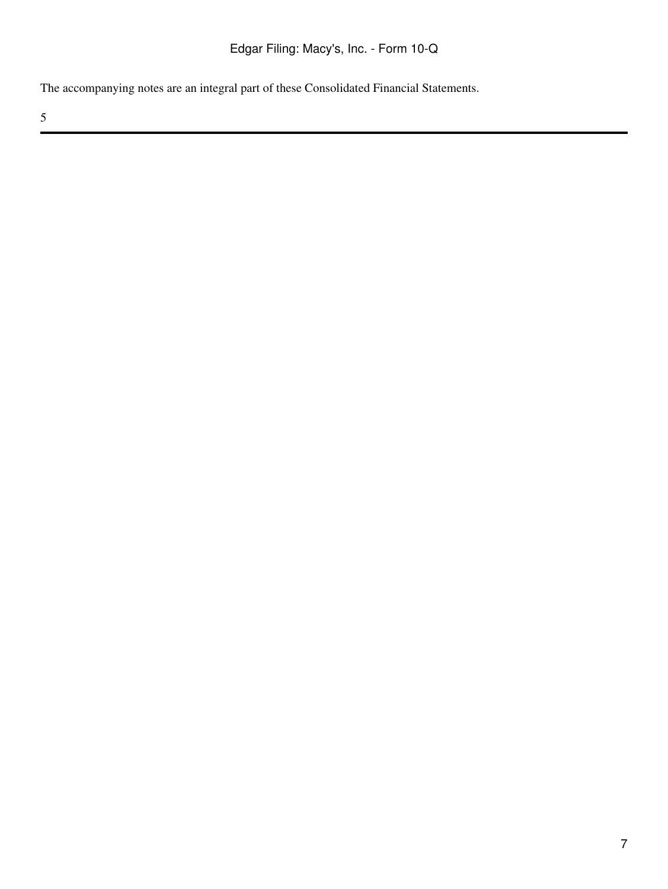The accompanying notes are an integral part of these Consolidated Financial Statements.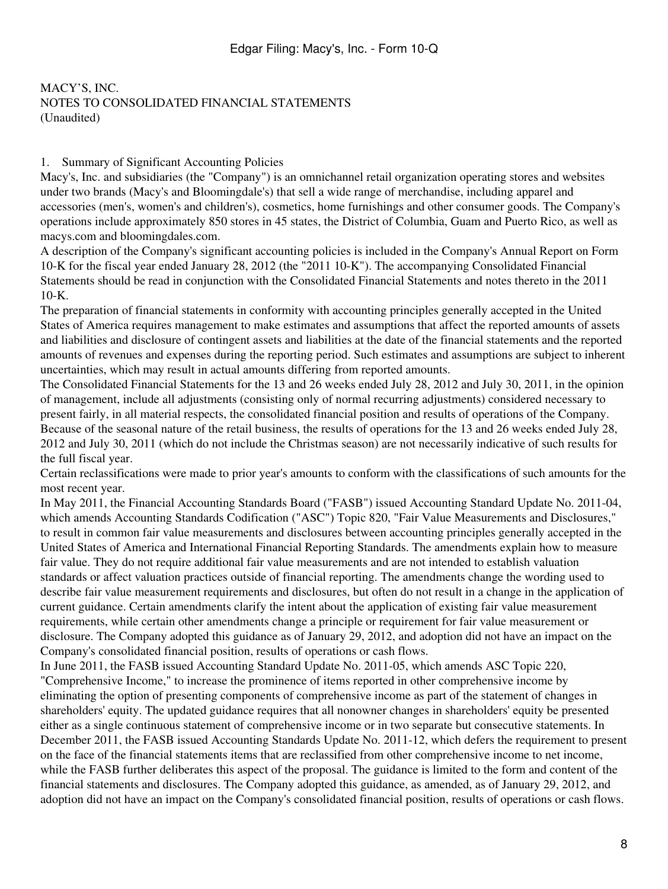### 1. Summary of Significant Accounting Policies

Macy's, Inc. and subsidiaries (the "Company") is an omnichannel retail organization operating stores and websites under two brands (Macy's and Bloomingdale's) that sell a wide range of merchandise, including apparel and accessories (men's, women's and children's), cosmetics, home furnishings and other consumer goods. The Company's operations include approximately 850 stores in 45 states, the District of Columbia, Guam and Puerto Rico, as well as macys.com and bloomingdales.com.

A description of the Company's significant accounting policies is included in the Company's Annual Report on Form 10-K for the fiscal year ended January 28, 2012 (the "2011 10-K"). The accompanying Consolidated Financial Statements should be read in conjunction with the Consolidated Financial Statements and notes thereto in the 2011 10-K.

The preparation of financial statements in conformity with accounting principles generally accepted in the United States of America requires management to make estimates and assumptions that affect the reported amounts of assets and liabilities and disclosure of contingent assets and liabilities at the date of the financial statements and the reported amounts of revenues and expenses during the reporting period. Such estimates and assumptions are subject to inherent uncertainties, which may result in actual amounts differing from reported amounts.

The Consolidated Financial Statements for the 13 and 26 weeks ended July 28, 2012 and July 30, 2011, in the opinion of management, include all adjustments (consisting only of normal recurring adjustments) considered necessary to present fairly, in all material respects, the consolidated financial position and results of operations of the Company. Because of the seasonal nature of the retail business, the results of operations for the 13 and 26 weeks ended July 28, 2012 and July 30, 2011 (which do not include the Christmas season) are not necessarily indicative of such results for the full fiscal year.

Certain reclassifications were made to prior year's amounts to conform with the classifications of such amounts for the most recent year.

In May 2011, the Financial Accounting Standards Board ("FASB") issued Accounting Standard Update No. 2011-04, which amends Accounting Standards Codification ("ASC") Topic 820, "Fair Value Measurements and Disclosures," to result in common fair value measurements and disclosures between accounting principles generally accepted in the United States of America and International Financial Reporting Standards. The amendments explain how to measure fair value. They do not require additional fair value measurements and are not intended to establish valuation standards or affect valuation practices outside of financial reporting. The amendments change the wording used to describe fair value measurement requirements and disclosures, but often do not result in a change in the application of current guidance. Certain amendments clarify the intent about the application of existing fair value measurement requirements, while certain other amendments change a principle or requirement for fair value measurement or disclosure. The Company adopted this guidance as of January 29, 2012, and adoption did not have an impact on the Company's consolidated financial position, results of operations or cash flows.

In June 2011, the FASB issued Accounting Standard Update No. 2011-05, which amends ASC Topic 220, "Comprehensive Income," to increase the prominence of items reported in other comprehensive income by eliminating the option of presenting components of comprehensive income as part of the statement of changes in shareholders' equity. The updated guidance requires that all nonowner changes in shareholders' equity be presented either as a single continuous statement of comprehensive income or in two separate but consecutive statements. In December 2011, the FASB issued Accounting Standards Update No. 2011-12, which defers the requirement to present on the face of the financial statements items that are reclassified from other comprehensive income to net income, while the FASB further deliberates this aspect of the proposal. The guidance is limited to the form and content of the financial statements and disclosures. The Company adopted this guidance, as amended, as of January 29, 2012, and adoption did not have an impact on the Company's consolidated financial position, results of operations or cash flows.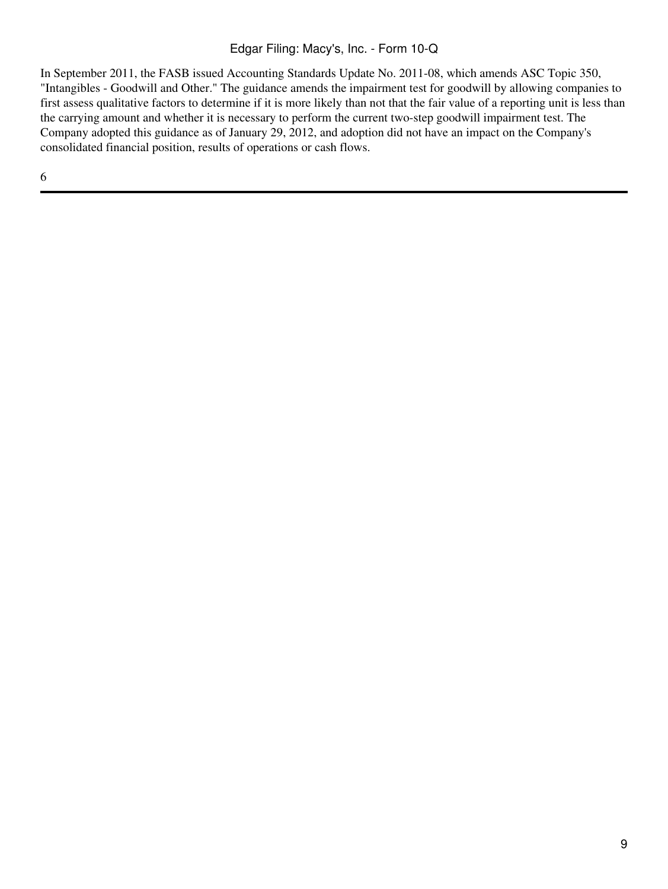In September 2011, the FASB issued Accounting Standards Update No. 2011-08, which amends ASC Topic 350, "Intangibles - Goodwill and Other." The guidance amends the impairment test for goodwill by allowing companies to first assess qualitative factors to determine if it is more likely than not that the fair value of a reporting unit is less than the carrying amount and whether it is necessary to perform the current two-step goodwill impairment test. The Company adopted this guidance as of January 29, 2012, and adoption did not have an impact on the Company's consolidated financial position, results of operations or cash flows.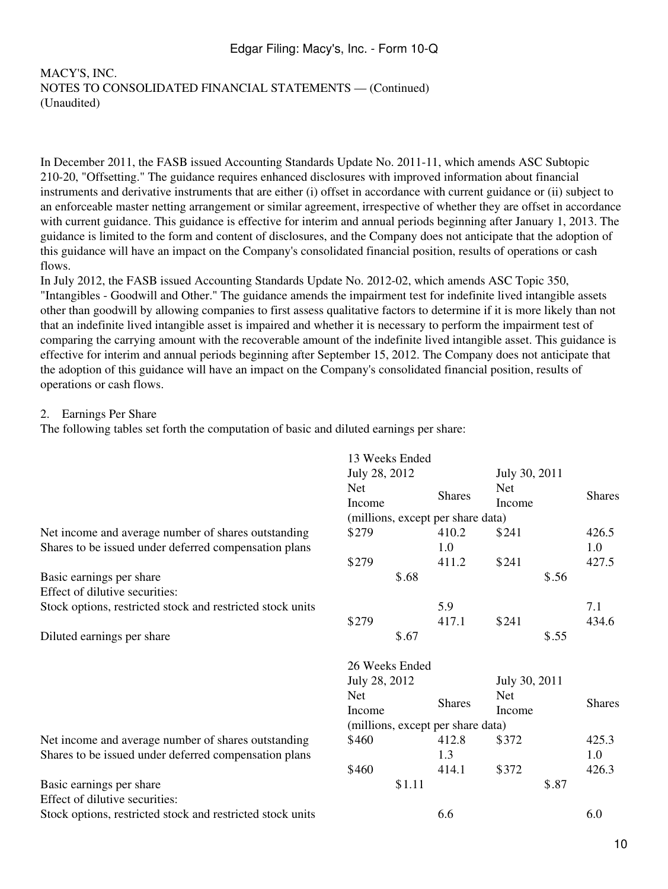In December 2011, the FASB issued Accounting Standards Update No. 2011-11, which amends ASC Subtopic 210-20, "Offsetting." The guidance requires enhanced disclosures with improved information about financial instruments and derivative instruments that are either (i) offset in accordance with current guidance or (ii) subject to an enforceable master netting arrangement or similar agreement, irrespective of whether they are offset in accordance with current guidance. This guidance is effective for interim and annual periods beginning after January 1, 2013. The guidance is limited to the form and content of disclosures, and the Company does not anticipate that the adoption of this guidance will have an impact on the Company's consolidated financial position, results of operations or cash flows.

In July 2012, the FASB issued Accounting Standards Update No. 2012-02, which amends ASC Topic 350, "Intangibles - Goodwill and Other." The guidance amends the impairment test for indefinite lived intangible assets other than goodwill by allowing companies to first assess qualitative factors to determine if it is more likely than not that an indefinite lived intangible asset is impaired and whether it is necessary to perform the impairment test of comparing the carrying amount with the recoverable amount of the indefinite lived intangible asset. This guidance is effective for interim and annual periods beginning after September 15, 2012. The Company does not anticipate that the adoption of this guidance will have an impact on the Company's consolidated financial position, results of operations or cash flows.

#### 2. Earnings Per Share

The following tables set forth the computation of basic and diluted earnings per share:

|                                                            | 13 Weeks Ended                    |               |                             |               |  |  |  |  |
|------------------------------------------------------------|-----------------------------------|---------------|-----------------------------|---------------|--|--|--|--|
|                                                            | July 28, 2012                     |               | July 30, 2011               |               |  |  |  |  |
|                                                            | <b>Net</b><br>Income              | <b>Shares</b> | <b>Net</b><br><b>Income</b> | <b>Shares</b> |  |  |  |  |
|                                                            | (millions, except per share data) |               |                             |               |  |  |  |  |
| Net income and average number of shares outstanding        | \$279                             | 410.2         | \$241                       | 426.5         |  |  |  |  |
| Shares to be issued under deferred compensation plans      |                                   | 1.0           |                             | 1.0           |  |  |  |  |
|                                                            | \$279                             | 411.2         | \$241                       | 427.5         |  |  |  |  |
| Basic earnings per share                                   | \$.68                             |               | \$.56                       |               |  |  |  |  |
| Effect of dilutive securities:                             |                                   |               |                             |               |  |  |  |  |
| Stock options, restricted stock and restricted stock units |                                   | 5.9           |                             | 7.1           |  |  |  |  |
|                                                            | \$279                             | 417.1         | \$241                       | 434.6         |  |  |  |  |
| Diluted earnings per share                                 | \$.67                             |               | \$.55                       |               |  |  |  |  |
|                                                            | 26 Weeks Ended                    |               |                             |               |  |  |  |  |
|                                                            | July 28, 2012                     |               | July 30, 2011               |               |  |  |  |  |
|                                                            | <b>Net</b>                        |               | <b>Net</b>                  |               |  |  |  |  |
|                                                            | Income                            | <b>Shares</b> | Income                      | <b>Shares</b> |  |  |  |  |
|                                                            | (millions, except per share data) |               |                             |               |  |  |  |  |
| Net income and average number of shares outstanding        | \$460                             | 412.8         | \$372                       | 425.3         |  |  |  |  |
| Shares to be issued under deferred compensation plans      |                                   | 1.3           |                             | 1.0           |  |  |  |  |
|                                                            | \$460                             | 414.1         | \$372                       | 426.3         |  |  |  |  |
| Basic earnings per share                                   | \$1.11                            |               | \$.87                       |               |  |  |  |  |
| Effect of dilutive securities:                             |                                   |               |                             |               |  |  |  |  |
| Stock options, restricted stock and restricted stock units |                                   |               |                             |               |  |  |  |  |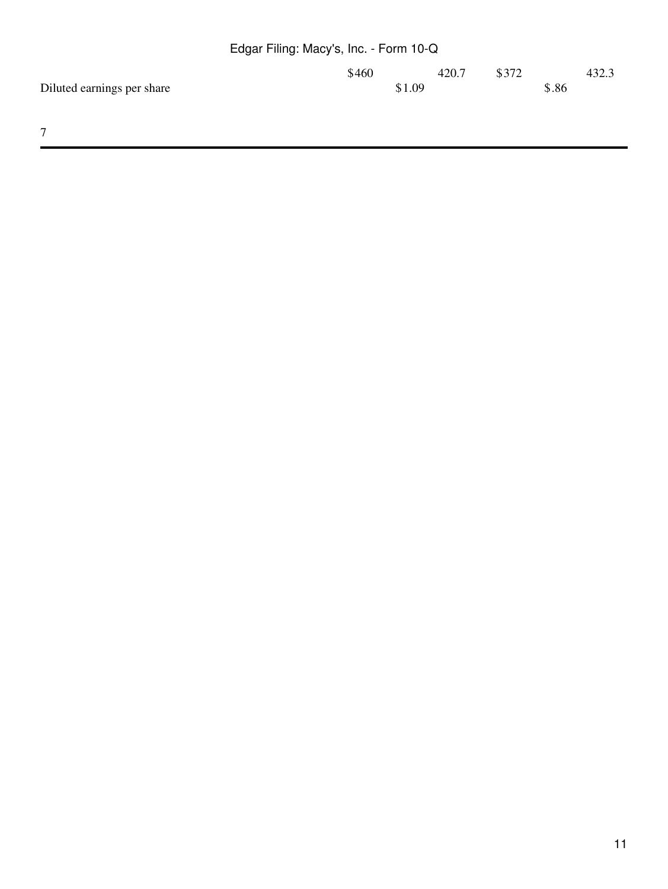|                            | Edgar Filing: Macy's, Inc. - Form 10-Q |       |       |       |       |
|----------------------------|----------------------------------------|-------|-------|-------|-------|
|                            | \$460                                  | 420.7 | \$372 |       | 432.3 |
| Diluted earnings per share | \$1.09                                 |       |       | \$.86 |       |
|                            |                                        |       |       |       |       |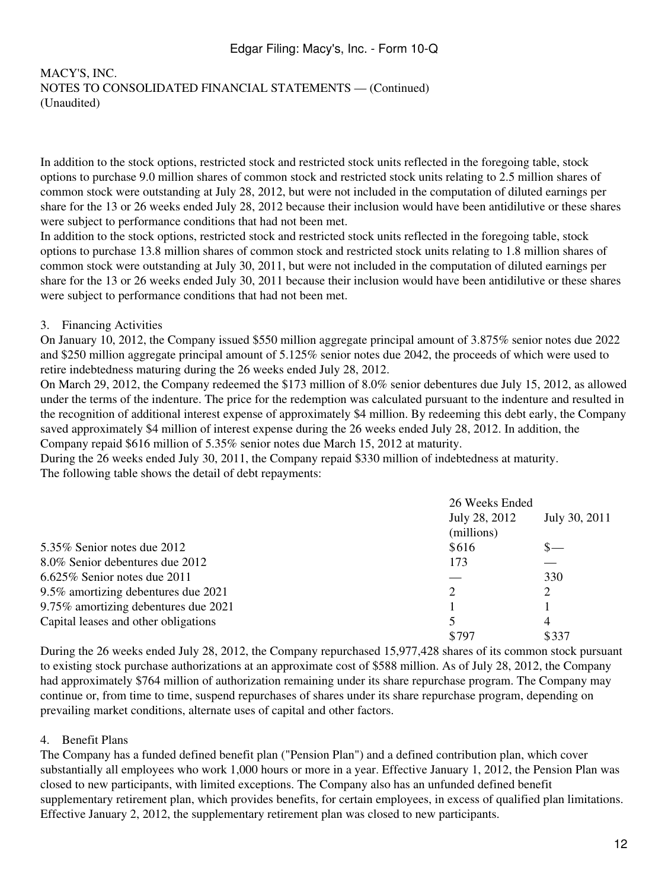# MACY'S, INC. NOTES TO CONSOLIDATED FINANCIAL STATEMENTS — (Continued) (Unaudited)

In addition to the stock options, restricted stock and restricted stock units reflected in the foregoing table, stock options to purchase 9.0 million shares of common stock and restricted stock units relating to 2.5 million shares of common stock were outstanding at July 28, 2012, but were not included in the computation of diluted earnings per share for the 13 or 26 weeks ended July 28, 2012 because their inclusion would have been antidilutive or these shares were subject to performance conditions that had not been met.

In addition to the stock options, restricted stock and restricted stock units reflected in the foregoing table, stock options to purchase 13.8 million shares of common stock and restricted stock units relating to 1.8 million shares of common stock were outstanding at July 30, 2011, but were not included in the computation of diluted earnings per share for the 13 or 26 weeks ended July 30, 2011 because their inclusion would have been antidilutive or these shares were subject to performance conditions that had not been met.

#### 3. Financing Activities

On January 10, 2012, the Company issued \$550 million aggregate principal amount of 3.875% senior notes due 2022 and \$250 million aggregate principal amount of 5.125% senior notes due 2042, the proceeds of which were used to retire indebtedness maturing during the 26 weeks ended July 28, 2012.

On March 29, 2012, the Company redeemed the \$173 million of 8.0% senior debentures due July 15, 2012, as allowed under the terms of the indenture. The price for the redemption was calculated pursuant to the indenture and resulted in the recognition of additional interest expense of approximately \$4 million. By redeeming this debt early, the Company saved approximately \$4 million of interest expense during the 26 weeks ended July 28, 2012. In addition, the Company repaid \$616 million of 5.35% senior notes due March 15, 2012 at maturity.

During the 26 weeks ended July 30, 2011, the Company repaid \$330 million of indebtedness at maturity. The following table shows the detail of debt repayments:

|                                      | 26 Weeks Ended |                |
|--------------------------------------|----------------|----------------|
|                                      | July 28, 2012  | July 30, 2011  |
|                                      | (millions)     |                |
| 5.35% Senior notes due $2012$        | \$616          | $S-$           |
| 8.0% Senior debentures due 2012      | 173            |                |
| 6.625% Senior notes due 2011         |                | 330            |
| 9.5% amortizing debentures due 2021  | 2              | 2              |
| 9.75% amortizing debentures due 2021 |                |                |
| Capital leases and other obligations | 5              | $\overline{4}$ |
|                                      | \$797          | \$337          |

During the 26 weeks ended July 28, 2012, the Company repurchased 15,977,428 shares of its common stock pursuant to existing stock purchase authorizations at an approximate cost of \$588 million. As of July 28, 2012, the Company had approximately \$764 million of authorization remaining under its share repurchase program. The Company may continue or, from time to time, suspend repurchases of shares under its share repurchase program, depending on prevailing market conditions, alternate uses of capital and other factors.

#### 4. Benefit Plans

The Company has a funded defined benefit plan ("Pension Plan") and a defined contribution plan, which cover substantially all employees who work 1,000 hours or more in a year. Effective January 1, 2012, the Pension Plan was closed to new participants, with limited exceptions. The Company also has an unfunded defined benefit supplementary retirement plan, which provides benefits, for certain employees, in excess of qualified plan limitations. Effective January 2, 2012, the supplementary retirement plan was closed to new participants.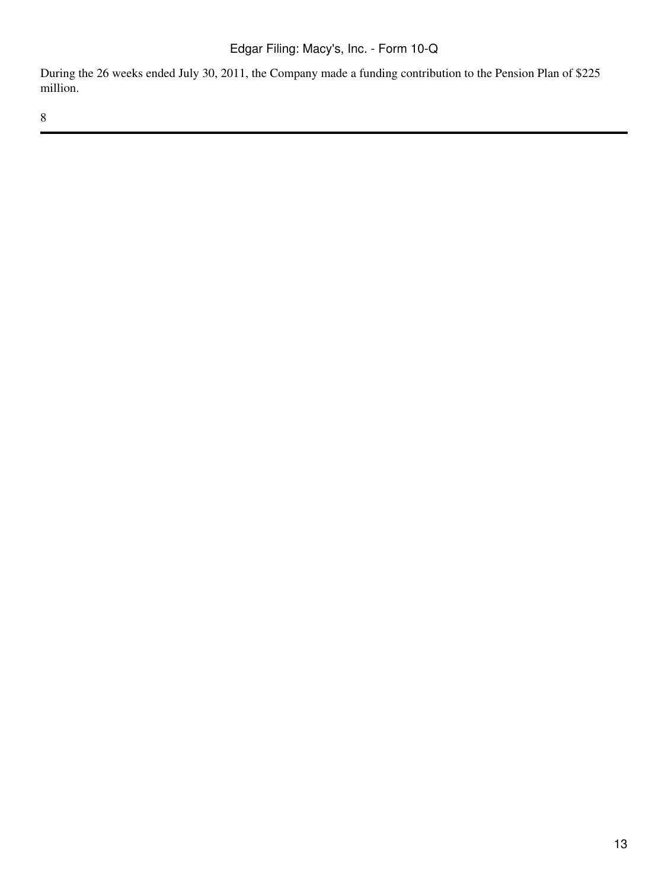During the 26 weeks ended July 30, 2011, the Company made a funding contribution to the Pension Plan of \$225 million.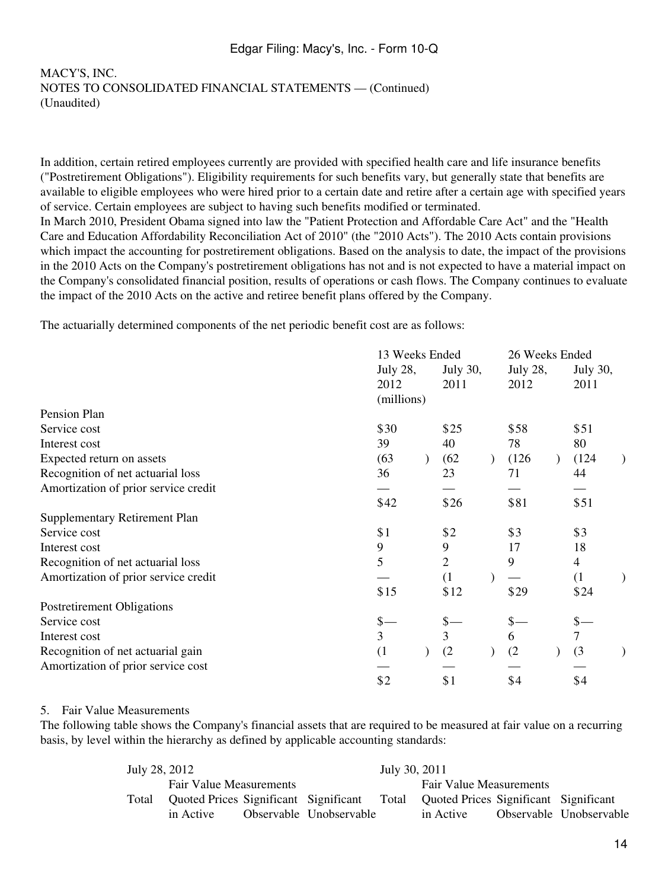In addition, certain retired employees currently are provided with specified health care and life insurance benefits ("Postretirement Obligations"). Eligibility requirements for such benefits vary, but generally state that benefits are available to eligible employees who were hired prior to a certain date and retire after a certain age with specified years of service. Certain employees are subject to having such benefits modified or terminated. In March 2010, President Obama signed into law the "Patient Protection and Affordable Care Act" and the "Health

Care and Education Affordability Reconciliation Act of 2010" (the "2010 Acts"). The 2010 Acts contain provisions which impact the accounting for postretirement obligations. Based on the analysis to date, the impact of the provisions in the 2010 Acts on the Company's postretirement obligations has not and is not expected to have a material impact on the Company's consolidated financial position, results of operations or cash flows. The Company continues to evaluate the impact of the 2010 Acts on the active and retiree benefit plans offered by the Company.

The actuarially determined components of the net periodic benefit cost are as follows:

|                                      | 13 Weeks Ended |                             |      |  | 26 Weeks Ended |          |                          |          |
|--------------------------------------|----------------|-----------------------------|------|--|----------------|----------|--------------------------|----------|
|                                      |                | July 28,<br><b>July 30,</b> |      |  |                | July 28, |                          | July 30, |
|                                      | 2012           |                             | 2011 |  | 2012           |          | 2011                     |          |
|                                      | (millions)     |                             |      |  |                |          |                          |          |
| Pension Plan                         |                |                             |      |  |                |          |                          |          |
| Service cost                         | \$30           |                             | \$25 |  | \$58           |          | \$51                     |          |
| Interest cost                        | 39             |                             | 40   |  | 78             |          | 80                       |          |
| Expected return on assets            | (63)           |                             | (62) |  | (126)          |          | (124)                    |          |
| Recognition of net actuarial loss    | 36             |                             | 23   |  | 71             |          | 44                       |          |
| Amortization of prior service credit |                |                             |      |  |                |          |                          |          |
|                                      | \$42           |                             | \$26 |  | \$81           |          | \$51                     |          |
| <b>Supplementary Retirement Plan</b> |                |                             |      |  |                |          |                          |          |
| Service cost                         | \$1            |                             | \$2  |  | \$3            |          | \$3                      |          |
| Interest cost                        | 9              |                             | 9    |  | 17             |          | 18                       |          |
| Recognition of net actuarial loss    | 5              |                             | 2    |  | 9              |          | $\overline{\mathcal{A}}$ |          |
| Amortization of prior service credit |                |                             | (1)  |  |                |          | (1)                      |          |
|                                      | \$15           |                             | \$12 |  | \$29           |          | \$24                     |          |
| Postretirement Obligations           |                |                             |      |  |                |          |                          |          |
| Service cost                         | $$-$           |                             | \$   |  | $$-$           |          |                          |          |
| Interest cost                        | 3              |                             | 3    |  | 6              |          |                          |          |
| Recognition of net actuarial gain    | (1)            |                             | (2)  |  | (2)            |          | (3)                      |          |
| Amortization of prior service cost   |                |                             |      |  |                |          |                          |          |
|                                      | \$2            |                             | \$1  |  | \$4            |          | \$4                      |          |

#### 5. Fair Value Measurements

The following table shows the Company's financial assets that are required to be measured at fair value on a recurring basis, by level within the hierarchy as defined by applicable accounting standards:

| July 28, 2012 |                                       |                         | July 30, 2011 |                                             |                         |
|---------------|---------------------------------------|-------------------------|---------------|---------------------------------------------|-------------------------|
|               | <b>Fair Value Measurements</b>        |                         |               | <b>Fair Value Measurements</b>              |                         |
| Total         | Quoted Prices Significant Significant |                         |               | Total Quoted Prices Significant Significant |                         |
|               | in Active                             | Observable Unobservable |               | in Active                                   | Observable Unobservable |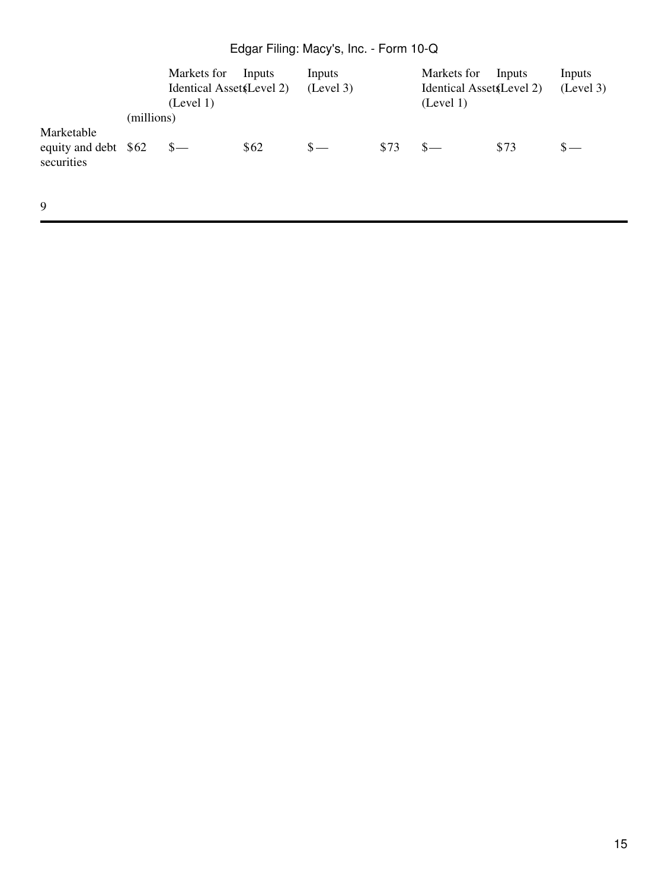|                                                  |            | Markets for<br>Identical Asset (Level 2)<br>(Level 1) | Inputs | Inputs<br>(Level 3) |      | Markets for<br>Identical Asset (Level 2)<br>(Level 1) | Inputs | Inputs<br>(Level 3) |
|--------------------------------------------------|------------|-------------------------------------------------------|--------|---------------------|------|-------------------------------------------------------|--------|---------------------|
|                                                  | (millions) |                                                       |        |                     |      |                                                       |        |                     |
| Marketable<br>equity and debt \$62<br>securities |            |                                                       | \$62   | $\mathbf{s}$ —      | \$73 | $S-$                                                  | \$73   |                     |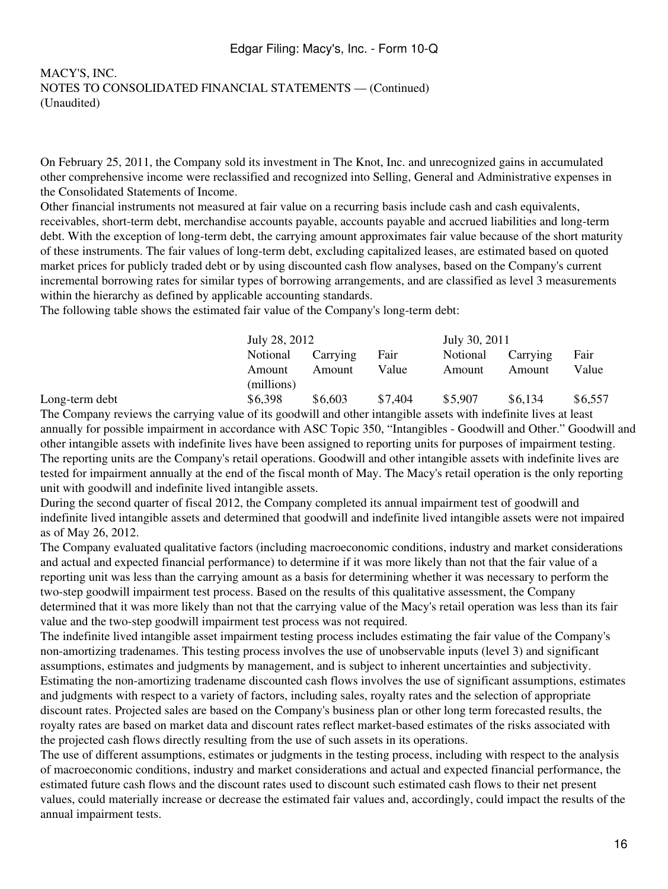On February 25, 2011, the Company sold its investment in The Knot, Inc. and unrecognized gains in accumulated other comprehensive income were reclassified and recognized into Selling, General and Administrative expenses in the Consolidated Statements of Income.

Other financial instruments not measured at fair value on a recurring basis include cash and cash equivalents, receivables, short-term debt, merchandise accounts payable, accounts payable and accrued liabilities and long-term debt. With the exception of long-term debt, the carrying amount approximates fair value because of the short maturity of these instruments. The fair values of long-term debt, excluding capitalized leases, are estimated based on quoted market prices for publicly traded debt or by using discounted cash flow analyses, based on the Company's current incremental borrowing rates for similar types of borrowing arrangements, and are classified as level 3 measurements within the hierarchy as defined by applicable accounting standards.

The following table shows the estimated fair value of the Company's long-term debt:

| July 28, 2012 |          |         | July 30, 2011 |          |         |  |  |  |  |
|---------------|----------|---------|---------------|----------|---------|--|--|--|--|
| Notional      | Carrying | Fair    | Notional      | Carrying | Fair    |  |  |  |  |
| Amount        | Amount   | Value   | Amount        | Amount   | Value   |  |  |  |  |
| (millions)    |          |         |               |          |         |  |  |  |  |
| \$6,398       | \$6,603  | \$7,404 | \$5,907       | \$6,134  | \$6,557 |  |  |  |  |

Long-term debt

The Company reviews the carrying value of its goodwill and other intangible assets with indefinite lives at least annually for possible impairment in accordance with ASC Topic 350, "Intangibles - Goodwill and Other." Goodwill and other intangible assets with indefinite lives have been assigned to reporting units for purposes of impairment testing. The reporting units are the Company's retail operations. Goodwill and other intangible assets with indefinite lives are tested for impairment annually at the end of the fiscal month of May. The Macy's retail operation is the only reporting unit with goodwill and indefinite lived intangible assets.

During the second quarter of fiscal 2012, the Company completed its annual impairment test of goodwill and indefinite lived intangible assets and determined that goodwill and indefinite lived intangible assets were not impaired as of May 26, 2012.

The Company evaluated qualitative factors (including macroeconomic conditions, industry and market considerations and actual and expected financial performance) to determine if it was more likely than not that the fair value of a reporting unit was less than the carrying amount as a basis for determining whether it was necessary to perform the two-step goodwill impairment test process. Based on the results of this qualitative assessment, the Company determined that it was more likely than not that the carrying value of the Macy's retail operation was less than its fair value and the two-step goodwill impairment test process was not required.

The indefinite lived intangible asset impairment testing process includes estimating the fair value of the Company's non-amortizing tradenames. This testing process involves the use of unobservable inputs (level 3) and significant assumptions, estimates and judgments by management, and is subject to inherent uncertainties and subjectivity. Estimating the non-amortizing tradename discounted cash flows involves the use of significant assumptions, estimates and judgments with respect to a variety of factors, including sales, royalty rates and the selection of appropriate discount rates. Projected sales are based on the Company's business plan or other long term forecasted results, the royalty rates are based on market data and discount rates reflect market-based estimates of the risks associated with the projected cash flows directly resulting from the use of such assets in its operations.

The use of different assumptions, estimates or judgments in the testing process, including with respect to the analysis of macroeconomic conditions, industry and market considerations and actual and expected financial performance, the estimated future cash flows and the discount rates used to discount such estimated cash flows to their net present values, could materially increase or decrease the estimated fair values and, accordingly, could impact the results of the annual impairment tests.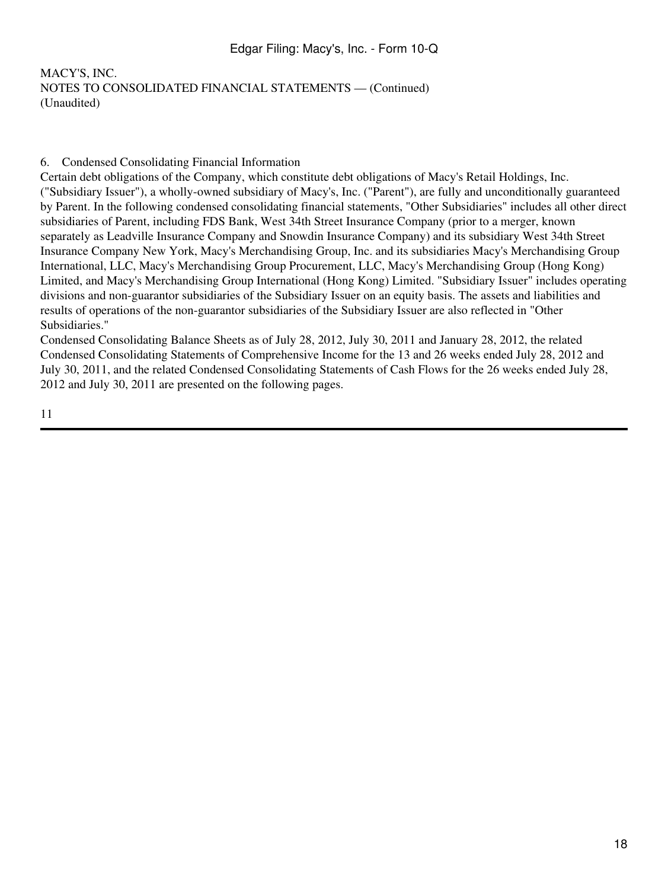### 6. Condensed Consolidating Financial Information

Certain debt obligations of the Company, which constitute debt obligations of Macy's Retail Holdings, Inc. ("Subsidiary Issuer"), a wholly-owned subsidiary of Macy's, Inc. ("Parent"), are fully and unconditionally guaranteed by Parent. In the following condensed consolidating financial statements, "Other Subsidiaries" includes all other direct subsidiaries of Parent, including FDS Bank, West 34th Street Insurance Company (prior to a merger, known separately as Leadville Insurance Company and Snowdin Insurance Company) and its subsidiary West 34th Street Insurance Company New York, Macy's Merchandising Group, Inc. and its subsidiaries Macy's Merchandising Group International, LLC, Macy's Merchandising Group Procurement, LLC, Macy's Merchandising Group (Hong Kong) Limited, and Macy's Merchandising Group International (Hong Kong) Limited. "Subsidiary Issuer" includes operating divisions and non-guarantor subsidiaries of the Subsidiary Issuer on an equity basis. The assets and liabilities and results of operations of the non-guarantor subsidiaries of the Subsidiary Issuer are also reflected in "Other Subsidiaries."

Condensed Consolidating Balance Sheets as of July 28, 2012, July 30, 2011 and January 28, 2012, the related Condensed Consolidating Statements of Comprehensive Income for the 13 and 26 weeks ended July 28, 2012 and July 30, 2011, and the related Condensed Consolidating Statements of Cash Flows for the 26 weeks ended July 28, 2012 and July 30, 2011 are presented on the following pages.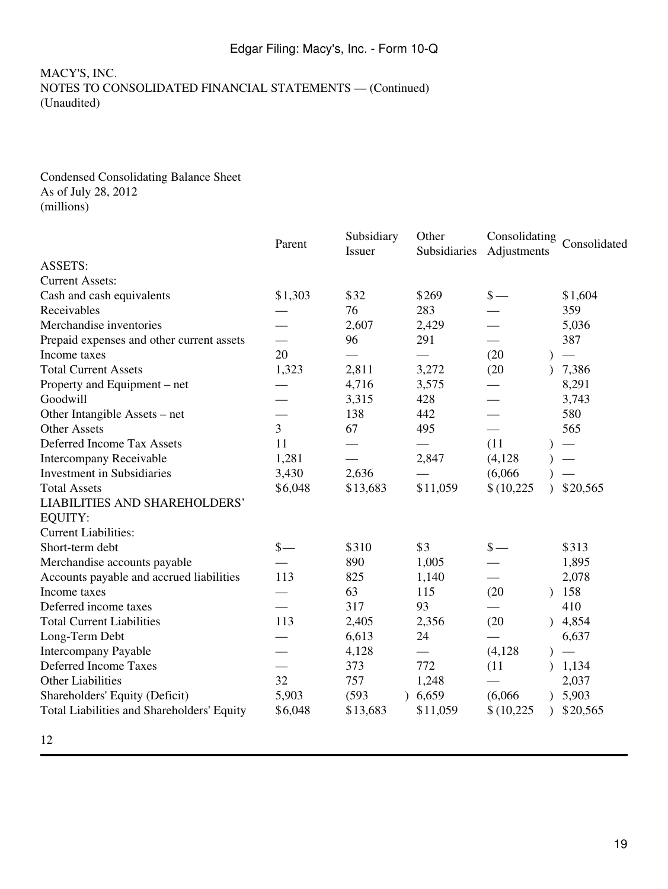#### Condensed Consolidating Balance Sheet As of July 28, 2012 (millions)

|                                            | Parent          | Subsidiary<br>Issuer | Other<br>Subsidiaries | Consolidating<br>Adjustments | Consolidated |
|--------------------------------------------|-----------------|----------------------|-----------------------|------------------------------|--------------|
| <b>ASSETS:</b>                             |                 |                      |                       |                              |              |
| <b>Current Assets:</b>                     |                 |                      |                       |                              |              |
| Cash and cash equivalents                  | \$1,303         | \$32                 | \$269                 | $\frac{\S}{\S}$              | \$1,604      |
| Receivables                                |                 | 76                   | 283                   |                              | 359          |
| Merchandise inventories                    |                 | 2,607                | 2,429                 |                              | 5,036        |
| Prepaid expenses and other current assets  |                 | 96                   | 291                   |                              | 387          |
| Income taxes                               | 20              |                      |                       | (20)                         |              |
| <b>Total Current Assets</b>                | 1,323           | 2,811                | 3,272                 | (20)                         | 7,386        |
| Property and Equipment – net               |                 | 4,716                | 3,575                 |                              | 8,291        |
| Goodwill                                   |                 | 3,315                | 428                   |                              | 3,743        |
| Other Intangible Assets – net              |                 | 138                  | 442                   |                              | 580          |
| <b>Other Assets</b>                        | $\overline{3}$  | 67                   | 495                   |                              | 565          |
| <b>Deferred Income Tax Assets</b>          | 11              |                      |                       | (11)                         |              |
| Intercompany Receivable                    | 1,281           |                      | 2,847                 | (4,128)                      |              |
| <b>Investment</b> in Subsidiaries          | 3,430           | 2,636                |                       | (6,066)                      |              |
| <b>Total Assets</b>                        | \$6,048         | \$13,683             | \$11,059              | \$(10,225)                   | \$20,565     |
| <b>LIABILITIES AND SHAREHOLDERS'</b>       |                 |                      |                       |                              |              |
| EQUITY:                                    |                 |                      |                       |                              |              |
| <b>Current Liabilities:</b>                |                 |                      |                       |                              |              |
| Short-term debt                            | $\frac{\ }{s-}$ | \$310                | \$3                   | $\frac{\S}{\S}$              | \$313        |
| Merchandise accounts payable               |                 | 890                  | 1,005                 |                              | 1,895        |
| Accounts payable and accrued liabilities   | 113             | 825                  | 1,140                 |                              | 2,078        |
| Income taxes                               |                 | 63                   | 115                   | (20)                         | 158          |
| Deferred income taxes                      |                 | 317                  | 93                    |                              | 410          |
| <b>Total Current Liabilities</b>           | 113             | 2,405                | 2,356                 | (20)<br>$\mathcal{L}$        | 4,854        |
| Long-Term Debt                             |                 | 6,613                | 24                    |                              | 6,637        |
| <b>Intercompany Payable</b>                |                 | 4,128                |                       | (4,128)                      |              |
| <b>Deferred Income Taxes</b>               |                 | 373                  | 772                   | (11)                         | 1,134        |
| <b>Other Liabilities</b>                   | 32              | 757                  | 1,248                 |                              | 2,037        |
| Shareholders' Equity (Deficit)             | 5,903           | (593)                | 6,659                 | (6,066)                      | 5,903        |
| Total Liabilities and Shareholders' Equity | \$6,048         | \$13,683             | \$11,059              | \$(10,225)<br>$\lambda$      | \$20,565     |
| 12                                         |                 |                      |                       |                              |              |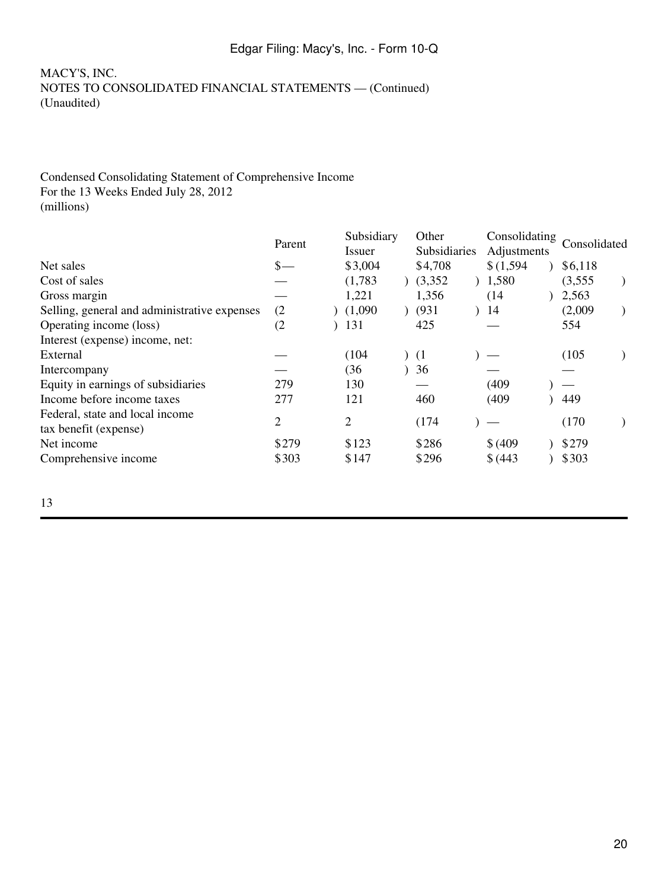### MACY'S, INC. NOTES TO CONSOLIDATED FINANCIAL STATEMENTS — (Continued) (Unaudited)

### Condensed Consolidating Statement of Comprehensive Income For the 13 Weeks Ended July 28, 2012 (millions)

|                                              | Parent          | Subsidiary | Other |              | Consolidating |  | Consolidated |  |
|----------------------------------------------|-----------------|------------|-------|--------------|---------------|--|--------------|--|
|                                              |                 | Issuer     |       | Subsidiaries | Adjustments   |  |              |  |
| Net sales                                    | $\frac{\ }{s-}$ | \$3,004    |       | \$4,708      | \$(1,594)     |  | \$6,118      |  |
| Cost of sales                                |                 | (1,783)    |       | (3,352)      | 1,580         |  | (3,555)      |  |
| Gross margin                                 |                 | 1,221      |       | 1,356        | (14)          |  | 2,563        |  |
| Selling, general and administrative expenses | (2)             | (1,090)    |       | (931)        | 14            |  | (2,009)      |  |
| Operating income (loss)                      | (2)             | 131        |       | 425          |               |  | 554          |  |
| Interest (expense) income, net:              |                 |            |       |              |               |  |              |  |
| External                                     |                 | (104)      |       | (1)          |               |  | (105)        |  |
| Intercompany                                 |                 | (36        |       | 36           |               |  |              |  |
| Equity in earnings of subsidiaries           | 279             | 130        |       |              | (409)         |  |              |  |
| Income before income taxes                   | 277             | 121        |       | 460          | (409)         |  | 449          |  |
| Federal, state and local income              | 2               | 2          |       | (174)        |               |  | (170)        |  |
| tax benefit (expense)                        |                 |            |       |              |               |  |              |  |
| Net income                                   | \$279           | \$123      |       | \$286        | \$ (409)      |  | \$279        |  |
| Comprehensive income                         | \$303           | \$147      |       | \$296        | \$ (443)      |  | \$303        |  |
|                                              |                 |            |       |              |               |  |              |  |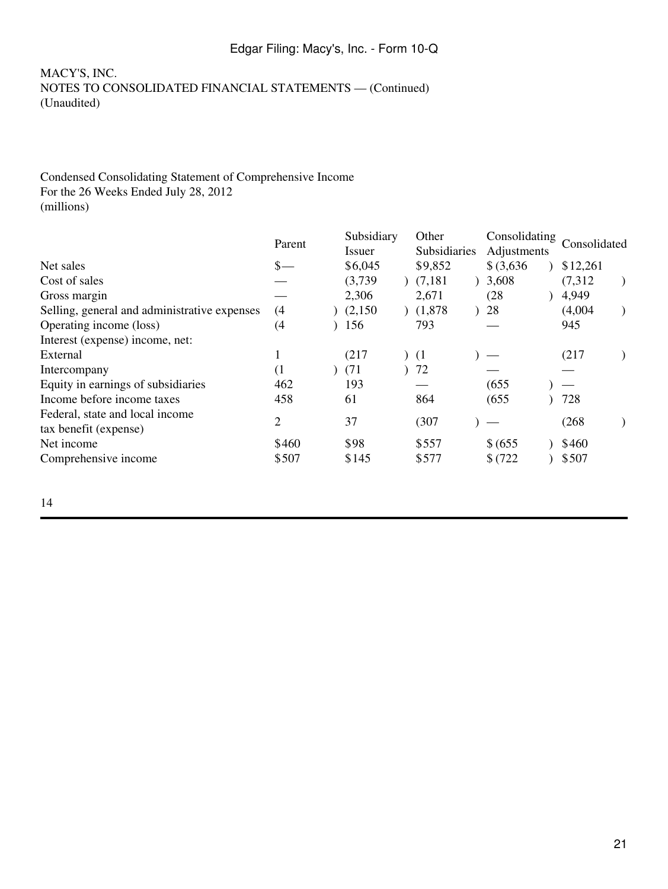### MACY'S, INC. NOTES TO CONSOLIDATED FINANCIAL STATEMENTS — (Continued) (Unaudited)

### Condensed Consolidating Statement of Comprehensive Income For the 26 Weeks Ended July 28, 2012 (millions)

|                                                          | Parent          | Subsidiary |  | Other               |  | Consolidating |  |              |  |
|----------------------------------------------------------|-----------------|------------|--|---------------------|--|---------------|--|--------------|--|
|                                                          |                 | Issuer     |  | <b>Subsidiaries</b> |  | Adjustments   |  | Consolidated |  |
| Net sales                                                | $\frac{\S}{\S}$ | \$6,045    |  | \$9,852             |  | $$$ (3,636)   |  | \$12,261     |  |
| Cost of sales                                            |                 | (3,739)    |  | (7,181)             |  | 3,608         |  | (7,312)      |  |
| Gross margin                                             |                 | 2,306      |  | 2,671               |  | (28)          |  | 4,949        |  |
| Selling, general and administrative expenses             | (4)             | (2,150)    |  | (1,878)             |  | 28            |  | (4,004)      |  |
| Operating income (loss)                                  | (4)             | 156        |  | 793                 |  |               |  | 945          |  |
| Interest (expense) income, net:                          |                 |            |  |                     |  |               |  |              |  |
| External                                                 |                 | (217)      |  | (1)                 |  |               |  | (217)        |  |
| Intercompany                                             | (1)             | (71)       |  | 72                  |  |               |  |              |  |
| Equity in earnings of subsidiaries                       | 462             | 193        |  |                     |  | (655)         |  |              |  |
| Income before income taxes                               | 458             | 61         |  | 864                 |  | (655)         |  | 728          |  |
| Federal, state and local income<br>tax benefit (expense) | $\overline{2}$  | 37         |  | (307)               |  |               |  | (268)        |  |
| Net income                                               | \$460           | \$98       |  | \$557               |  | \$ (655)      |  | \$460        |  |
| Comprehensive income                                     | \$507           | \$145      |  | \$577               |  | \$(722)       |  | \$507        |  |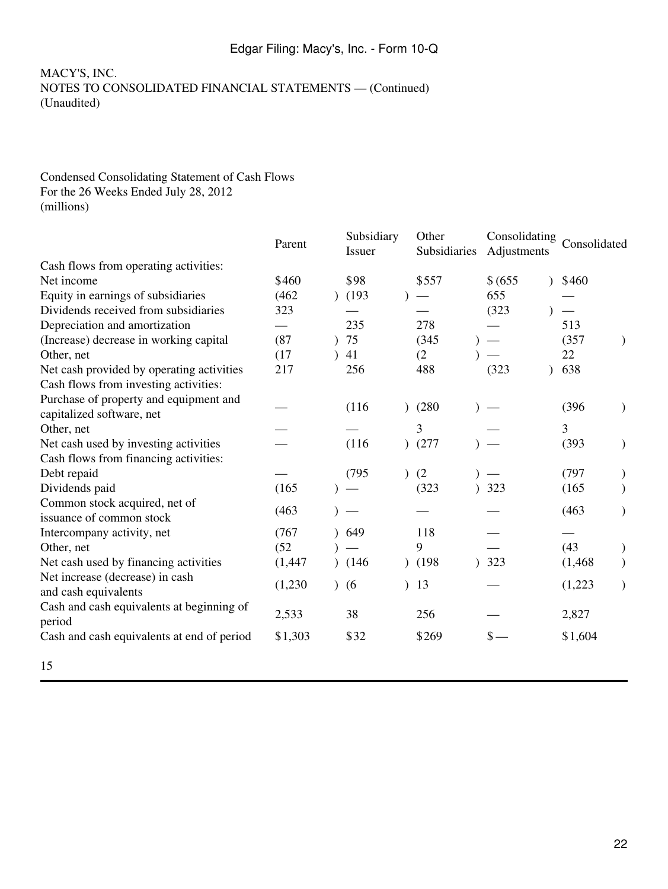### Condensed Consolidating Statement of Cash Flows For the 26 Weeks Ended July 28, 2012 (millions)

|                                            | Parent   | Subsidiary<br><b>Issuer</b> | Other<br>Subsidiaries | Consolidating<br>Adjustments |               | Consolidated |               |
|--------------------------------------------|----------|-----------------------------|-----------------------|------------------------------|---------------|--------------|---------------|
| Cash flows from operating activities:      |          |                             |                       |                              |               |              |               |
| Net income                                 | \$460    | \$98                        | \$557                 | \$ (655)                     | $\mathcal{L}$ | \$460        |               |
| Equity in earnings of subsidiaries         | (462)    | (193)                       |                       | 655                          |               |              |               |
| Dividends received from subsidiaries       | 323      |                             |                       | (323)                        |               |              |               |
| Depreciation and amortization              |          | 235                         | 278                   |                              |               | 513          |               |
| (Increase) decrease in working capital     | (87)     | 75                          | (345)                 | $\overline{\phantom{m}}$     |               | (357)        |               |
| Other, net                                 | (17)     | 41                          | (2)                   |                              |               | 22           |               |
| Net cash provided by operating activities  | 217      | 256                         | 488                   | (323)                        | $\mathcal{L}$ | 638          |               |
| Cash flows from investing activities:      |          |                             |                       |                              |               |              |               |
| Purchase of property and equipment and     |          |                             |                       |                              |               |              |               |
| capitalized software, net                  |          | (116)                       | (280)                 |                              |               | (396)        | $\mathcal{F}$ |
| Other, net                                 |          |                             | 3                     |                              |               | 3            |               |
| Net cash used by investing activities      |          | (116)                       | )(277)                |                              |               | (393)        | $\mathcal{E}$ |
| Cash flows from financing activities:      |          |                             |                       |                              |               |              |               |
| Debt repaid                                |          | (795)                       | (2)                   |                              |               | (797)        |               |
| Dividends paid                             | (165)    |                             | (323)                 | 323                          |               | (165)        |               |
| Common stock acquired, net of              |          |                             |                       |                              |               |              |               |
| issuance of common stock                   | (463)    |                             |                       |                              |               | (463)        |               |
| Intercompany activity, net                 | (767)    | 649                         | 118                   |                              |               |              |               |
| Other, net                                 | (52)     |                             | 9                     |                              |               | (43)         | $\mathcal{E}$ |
| Net cash used by financing activities      | (1, 447) | (146)                       | (198)                 | 323                          |               | (1, 468)     |               |
| Net increase (decrease) in cash            |          |                             |                       |                              |               |              |               |
| and cash equivalents                       | (1,230)  | (6)                         | 13                    |                              |               | (1,223)      | $\mathcal{F}$ |
| Cash and cash equivalents at beginning of  | 2,533    | 38                          | 256                   |                              |               | 2,827        |               |
| period                                     |          |                             |                       |                              |               |              |               |
| Cash and cash equivalents at end of period | \$1,303  | \$32                        | \$269                 | $\mathbb{S}$ —               |               | \$1,604      |               |
| 15                                         |          |                             |                       |                              |               |              |               |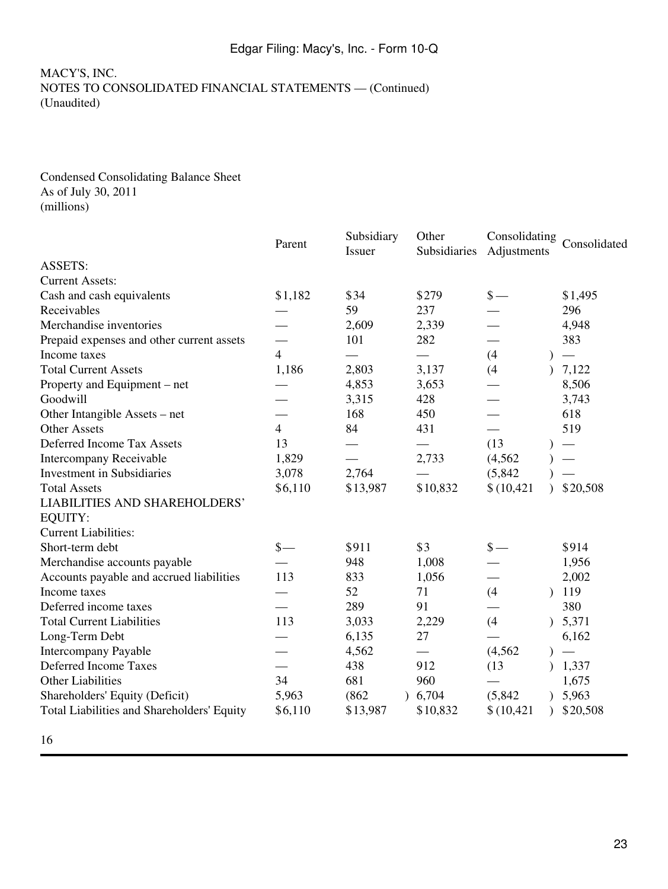#### Condensed Consolidating Balance Sheet As of July 30, 2011 (millions)

|                                            | Parent         | Subsidiary<br>Issuer | Other<br>Subsidiaries | Consolidating<br>Adjustments | Consolidated |
|--------------------------------------------|----------------|----------------------|-----------------------|------------------------------|--------------|
| <b>ASSETS:</b>                             |                |                      |                       |                              |              |
| <b>Current Assets:</b>                     |                |                      |                       |                              |              |
| Cash and cash equivalents                  | \$1,182        | \$34                 | \$279                 | $\frac{\epsilon}{\epsilon}$  | \$1,495      |
| Receivables                                |                | 59                   | 237                   |                              | 296          |
| Merchandise inventories                    |                | 2,609                | 2,339                 |                              | 4,948        |
| Prepaid expenses and other current assets  |                | 101                  | 282                   |                              | 383          |
| Income taxes                               | $\overline{4}$ |                      | $\qquad \qquad$       | (4)<br>$\lambda$             |              |
| <b>Total Current Assets</b>                | 1,186          | 2,803                | 3,137                 | (4)                          | 7,122        |
| Property and Equipment – net               |                | 4,853                | 3,653                 |                              | 8,506        |
| Goodwill                                   |                | 3,315                | 428                   |                              | 3,743        |
| Other Intangible Assets – net              |                | 168                  | 450                   |                              | 618          |
| <b>Other Assets</b>                        | $\overline{4}$ | 84                   | 431                   | $\overline{\phantom{0}}$     | 519          |
| <b>Deferred Income Tax Assets</b>          | 13             |                      |                       | (13)                         |              |
| Intercompany Receivable                    | 1,829          |                      | 2,733                 | (4, 562)                     |              |
| <b>Investment in Subsidiaries</b>          | 3,078          | 2,764                |                       | (5,842)                      |              |
| <b>Total Assets</b>                        | \$6,110        | \$13,987             | \$10,832              | \$(10, 421)                  | \$20,508     |
| <b>LIABILITIES AND SHAREHOLDERS'</b>       |                |                      |                       |                              |              |
| EQUITY:                                    |                |                      |                       |                              |              |
| <b>Current Liabilities:</b>                |                |                      |                       |                              |              |
| Short-term debt                            | $s-$           | \$911                | \$3                   | $\frac{\epsilon}{2}$         | \$914        |
| Merchandise accounts payable               |                | 948                  | 1,008                 |                              | 1,956        |
| Accounts payable and accrued liabilities   | 113            | 833                  | 1,056                 |                              | 2,002        |
| Income taxes                               |                | 52                   | 71                    | (4)                          | 119          |
| Deferred income taxes                      |                | 289                  | 91                    |                              | 380          |
| <b>Total Current Liabilities</b>           | 113            | 3,033                | 2,229                 | (4)                          | 5,371        |
| Long-Term Debt                             |                | 6,135                | 27                    |                              | 6,162        |
| <b>Intercompany Payable</b>                |                | 4,562                |                       | (4, 562)                     |              |
| <b>Deferred Income Taxes</b>               |                | 438                  | 912                   | (13)                         | 1,337        |
| <b>Other Liabilities</b>                   | 34             | 681                  | 960                   |                              | 1,675        |
| Shareholders' Equity (Deficit)             | 5,963          | (862)                | 6,704                 | (5,842)                      | 5,963        |
| Total Liabilities and Shareholders' Equity | \$6,110        | \$13,987             | \$10,832              | \$(10, 421)<br>$\mathcal{L}$ | \$20,508     |
| 16                                         |                |                      |                       |                              |              |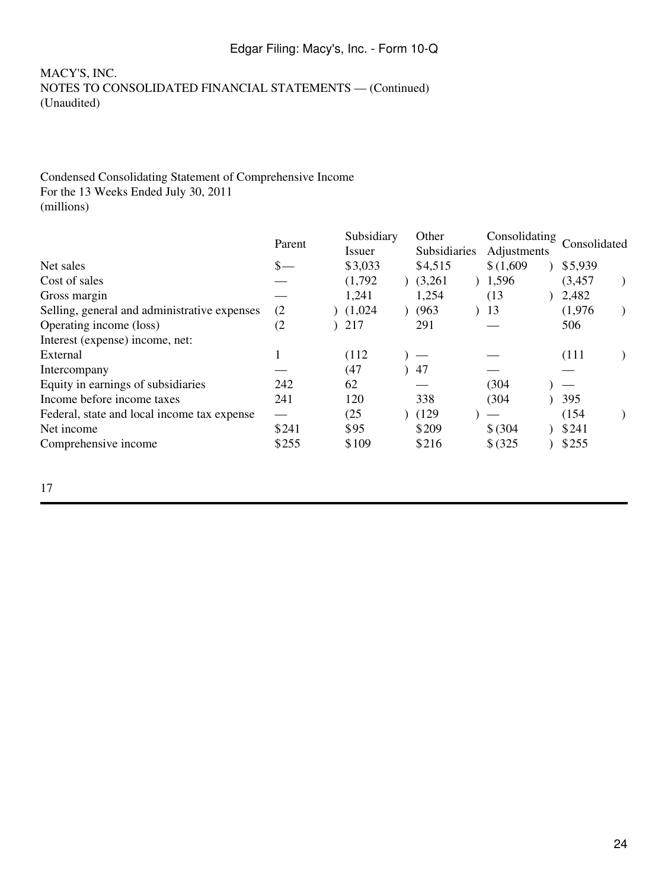### MACY'S, INC. NOTES TO CONSOLIDATED FINANCIAL STATEMENTS — (Continued) (Unaudited)

### Condensed Consolidating Statement of Comprehensive Income For the 13 Weeks Ended July 30, 2011 (millions)

|                                              |                 | Subsidiary |  | Other        |  | Consolidating |  | Consolidated |  |
|----------------------------------------------|-----------------|------------|--|--------------|--|---------------|--|--------------|--|
|                                              | Parent          | Issuer     |  | Subsidiaries |  | Adjustments   |  |              |  |
| Net sales                                    | $\frac{\S}{\S}$ | \$3,033    |  | \$4,515      |  | \$(1,609)     |  | \$5,939      |  |
| Cost of sales                                |                 | (1,792)    |  | (3,261)      |  | 1,596         |  | (3, 457)     |  |
| Gross margin                                 |                 | 1,241      |  | 1,254        |  | (13)          |  | 2,482        |  |
| Selling, general and administrative expenses | (2)             | (1,024)    |  | (963)        |  | 13            |  | (1,976)      |  |
| Operating income (loss)                      | (2)             | 217        |  | 291          |  |               |  | 506          |  |
| Interest (expense) income, net:              |                 |            |  |              |  |               |  |              |  |
| External                                     |                 | (112)      |  |              |  |               |  | (111)        |  |
| Intercompany                                 |                 | (47)       |  | 47           |  |               |  |              |  |
| Equity in earnings of subsidiaries           | 242             | 62         |  |              |  | (304)         |  |              |  |
| Income before income taxes                   | 241             | 120        |  | 338          |  | (304)         |  | 395          |  |
| Federal, state and local income tax expense  |                 | (25)       |  | (129)        |  |               |  | (154)        |  |
| Net income                                   | \$241           | \$95       |  | \$209        |  | \$ (304)      |  | \$241        |  |
| Comprehensive income                         | \$255           | \$109      |  | \$216        |  | \$ (325)      |  | \$255        |  |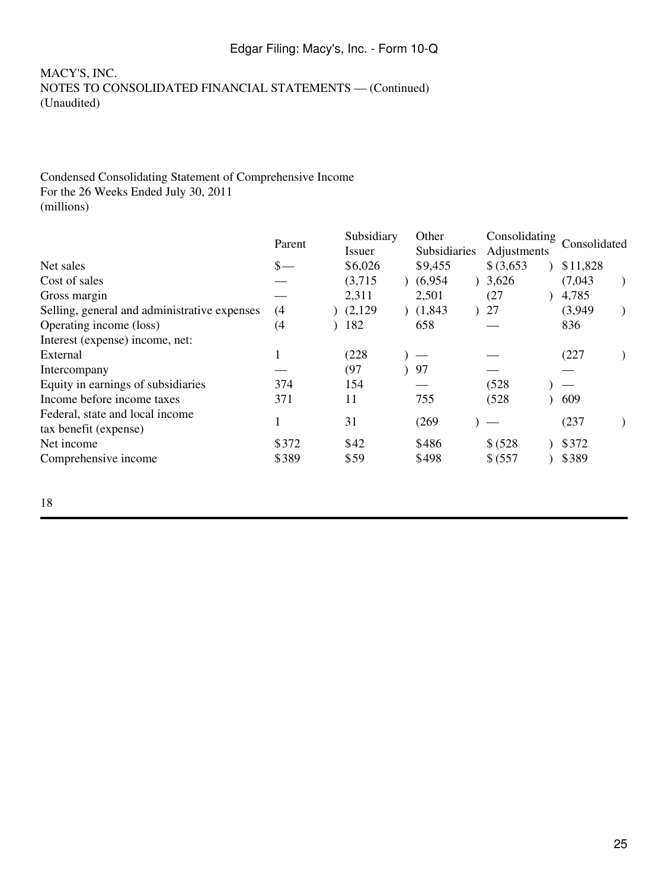### MACY'S, INC. NOTES TO CONSOLIDATED FINANCIAL STATEMENTS — (Continued) (Unaudited)

### Condensed Consolidating Statement of Comprehensive Income For the 26 Weeks Ended July 30, 2011 (millions)

|                                                          | Parent          |  |         | Subsidiary<br>Other |              | Consolidating |  |              |  |
|----------------------------------------------------------|-----------------|--|---------|---------------------|--------------|---------------|--|--------------|--|
|                                                          |                 |  | Issuer  |                     | Subsidiaries | Adjustments   |  | Consolidated |  |
| Net sales                                                | $\frac{\ }{s-}$ |  | \$6,026 |                     | \$9,455      | $$$ (3,653)   |  | \$11,828     |  |
| Cost of sales                                            |                 |  | (3,715) |                     | (6,954)      | 3,626         |  | (7,043)      |  |
| Gross margin                                             |                 |  | 2,311   |                     | 2,501        | (27)          |  | 4,785        |  |
| Selling, general and administrative expenses             | (4)             |  | (2,129) |                     | (1,843)      | 27            |  | (3,949)      |  |
| Operating income (loss)                                  | (4)             |  | 182     |                     | 658          |               |  | 836          |  |
| Interest (expense) income, net:                          |                 |  |         |                     |              |               |  |              |  |
| External                                                 |                 |  | (228)   |                     |              |               |  | (227)        |  |
| Intercompany                                             |                 |  | (97)    |                     | 97           |               |  |              |  |
| Equity in earnings of subsidiaries                       | 374             |  | 154     |                     |              | (528)         |  |              |  |
| Income before income taxes                               | 371             |  | 11      |                     | 755          | (528)         |  | 609          |  |
| Federal, state and local income<br>tax benefit (expense) |                 |  | 31      |                     | (269)        |               |  | (237)        |  |
| Net income                                               | \$372           |  | \$42    |                     | \$486        | \$ (528)      |  | \$372        |  |
| Comprehensive income                                     | \$389           |  | \$59    |                     | \$498        | \$ (557       |  | \$389        |  |
|                                                          |                 |  |         |                     |              |               |  |              |  |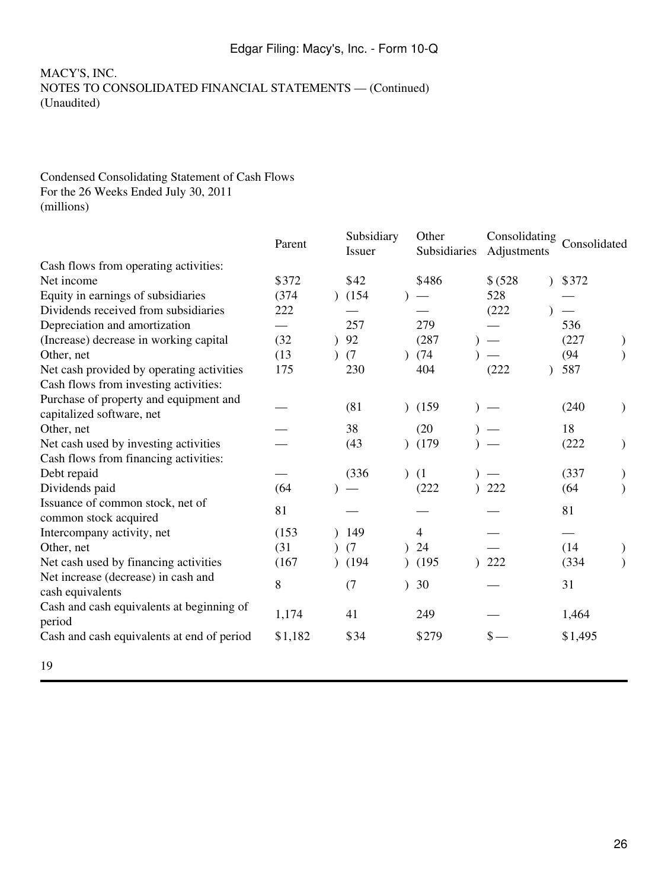#### Condensed Consolidating Statement of Cash Flows For the 26 Weeks Ended July 30, 2011 (millions)

|                                            | Parent  | Subsidiary<br><b>Issuer</b> | Other<br>Subsidiaries | Consolidating<br>Adjustments |               | Consolidated |               |
|--------------------------------------------|---------|-----------------------------|-----------------------|------------------------------|---------------|--------------|---------------|
| Cash flows from operating activities:      |         |                             |                       |                              |               |              |               |
| Net income                                 | \$372   | \$42                        | \$486                 | \$ (528)                     | $\mathcal{L}$ | \$372        |               |
| Equity in earnings of subsidiaries         | (374)   | (154)                       |                       | 528                          |               |              |               |
| Dividends received from subsidiaries       | 222     |                             |                       | (222)                        |               |              |               |
| Depreciation and amortization              |         | 257                         | 279                   |                              |               | 536          |               |
| (Increase) decrease in working capital     | (32)    | 92                          | (287)                 | $\overline{\phantom{m}}$     |               | (227)        |               |
| Other, net                                 | (13)    | (7)                         | (74)                  |                              |               | (94)         |               |
| Net cash provided by operating activities  | 175     | 230                         | 404                   | (222)                        |               | 587          |               |
| Cash flows from investing activities:      |         |                             |                       |                              |               |              |               |
| Purchase of property and equipment and     |         |                             |                       |                              |               |              |               |
| capitalized software, net                  |         | (81)                        | (159)                 |                              |               | (240)        | $\mathcal{E}$ |
| Other, net                                 |         | 38                          | (20)                  |                              |               | 18           |               |
| Net cash used by investing activities      |         | (43)                        | (179)                 |                              |               | (222)        | $\mathcal{F}$ |
| Cash flows from financing activities:      |         |                             |                       |                              |               |              |               |
| Debt repaid                                |         | (336)                       | (1)                   |                              |               | (337)        |               |
| Dividends paid                             | (64)    |                             | (222)                 | 222                          |               | (64)         |               |
| Issuance of common stock, net of           | 81      |                             |                       |                              |               |              |               |
| common stock acquired                      |         |                             |                       |                              |               | 81           |               |
| Intercompany activity, net                 | (153)   | 149                         | $\overline{4}$        |                              |               |              |               |
| Other, net                                 | (31)    | (7)                         | 24                    |                              |               | (14)         |               |
| Net cash used by financing activities      | (167)   | (194)                       | (195)                 | 222                          |               | (334)        |               |
| Net increase (decrease) in cash and        | $8\,$   |                             | 30                    |                              |               | 31           |               |
| cash equivalents                           |         | (7)                         |                       |                              |               |              |               |
| Cash and cash equivalents at beginning of  |         | 41                          |                       |                              |               |              |               |
| period                                     | 1,174   |                             | 249                   |                              |               | 1,464        |               |
| Cash and cash equivalents at end of period | \$1,182 | \$34                        | \$279                 | $\mathsf{s}-$                |               | \$1,495      |               |
| 19                                         |         |                             |                       |                              |               |              |               |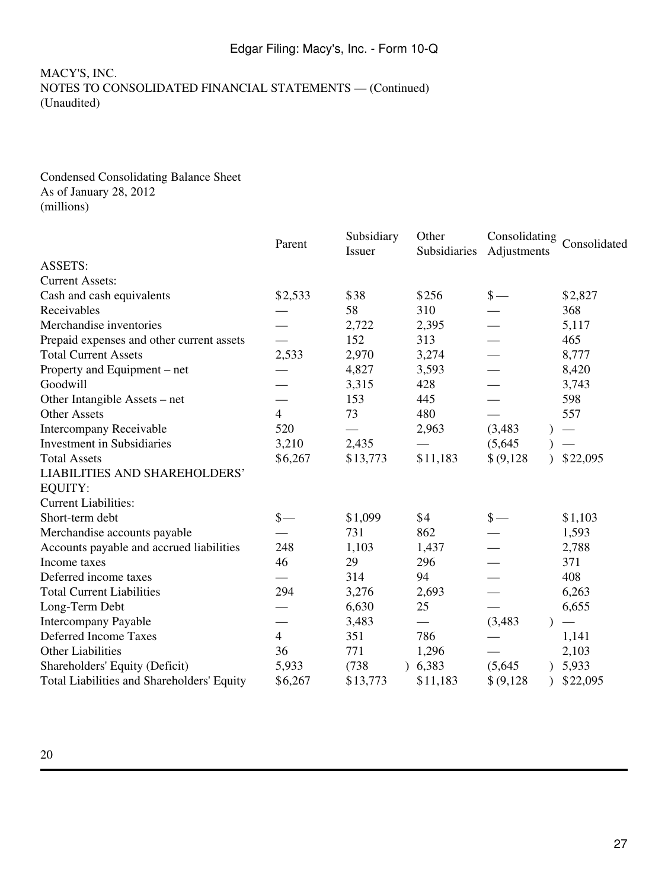#### Condensed Consolidating Balance Sheet As of January 28, 2012 (millions)

|                                            | Parent          | Subsidiary<br>Issuer | Other<br>Subsidiaries | Consolidating<br>Adjustments | Consolidated |
|--------------------------------------------|-----------------|----------------------|-----------------------|------------------------------|--------------|
| <b>ASSETS:</b>                             |                 |                      |                       |                              |              |
| <b>Current Assets:</b>                     |                 |                      |                       |                              |              |
| Cash and cash equivalents                  | \$2,533         | \$38                 | \$256                 | $\frac{\ }{s-}$              | \$2,827      |
| Receivables                                |                 | 58                   | 310                   |                              | 368          |
| Merchandise inventories                    |                 | 2,722                | 2,395                 |                              | 5,117        |
| Prepaid expenses and other current assets  |                 | 152                  | 313                   |                              | 465          |
| <b>Total Current Assets</b>                | 2,533           | 2,970                | 3,274                 |                              | 8,777        |
| Property and Equipment – net               |                 | 4,827                | 3,593                 |                              | 8,420        |
| Goodwill                                   |                 | 3,315                | 428                   |                              | 3,743        |
| Other Intangible Assets – net              |                 | 153                  | 445                   |                              | 598          |
| <b>Other Assets</b>                        | $\overline{4}$  | 73                   | 480                   |                              | 557          |
| <b>Intercompany Receivable</b>             | 520             |                      | 2,963                 | (3,483)                      |              |
| Investment in Subsidiaries                 | 3,210           | 2,435                |                       | (5,645)                      |              |
| <b>Total Assets</b>                        | \$6,267         | \$13,773             | \$11,183              | \$ (9,128)                   | \$22,095     |
| <b>LIABILITIES AND SHAREHOLDERS'</b>       |                 |                      |                       |                              |              |
| <b>EQUITY:</b>                             |                 |                      |                       |                              |              |
| <b>Current Liabilities:</b>                |                 |                      |                       |                              |              |
| Short-term debt                            | $\frac{\ }{s-}$ | \$1,099              | \$4                   | $\frac{\ }{s-}$              | \$1,103      |
| Merchandise accounts payable               |                 | 731                  | 862                   |                              | 1,593        |
| Accounts payable and accrued liabilities   | 248             | 1,103                | 1,437                 |                              | 2,788        |
| Income taxes                               | 46              | 29                   | 296                   |                              | 371          |
| Deferred income taxes                      |                 | 314                  | 94                    |                              | 408          |
| <b>Total Current Liabilities</b>           | 294             | 3,276                | 2,693                 |                              | 6,263        |
| Long-Term Debt                             |                 | 6,630                | 25                    |                              | 6,655        |
| <b>Intercompany Payable</b>                |                 | 3,483                |                       | (3, 483)                     |              |
| Deferred Income Taxes                      | $\overline{4}$  | 351                  | 786                   |                              | 1,141        |
| <b>Other Liabilities</b>                   | 36              | 771                  | 1,296                 |                              | 2,103        |
| Shareholders' Equity (Deficit)             | 5,933           | (738)                | 6,383                 | (5,645)                      | 5,933        |
| Total Liabilities and Shareholders' Equity | \$6,267         | \$13,773             | \$11,183              | \$ (9,128)                   | \$22,095     |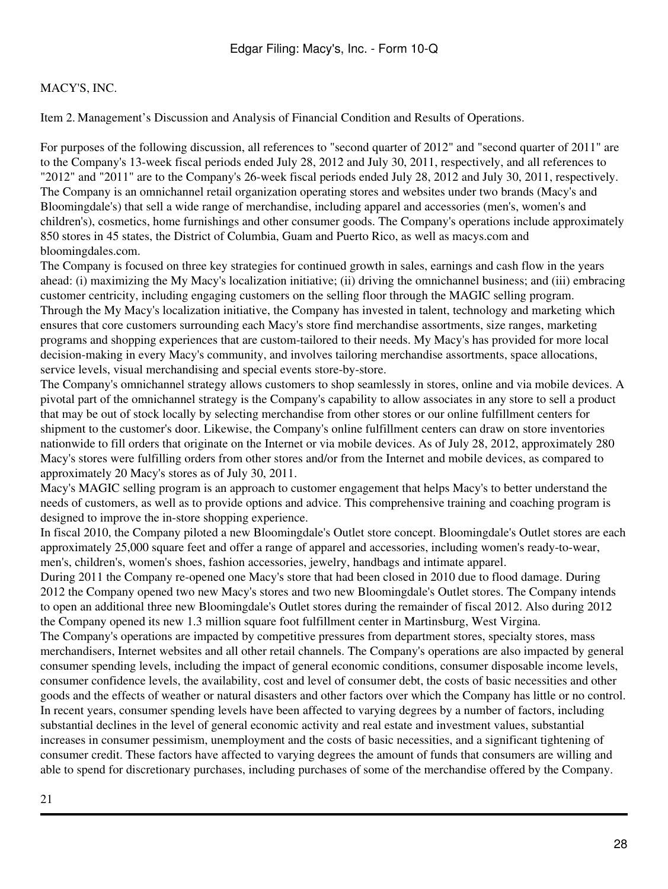Item 2. Management's Discussion and Analysis of Financial Condition and Results of Operations.

For purposes of the following discussion, all references to "second quarter of 2012" and "second quarter of 2011" are to the Company's 13-week fiscal periods ended July 28, 2012 and July 30, 2011, respectively, and all references to "2012" and "2011" are to the Company's 26-week fiscal periods ended July 28, 2012 and July 30, 2011, respectively. The Company is an omnichannel retail organization operating stores and websites under two brands (Macy's and Bloomingdale's) that sell a wide range of merchandise, including apparel and accessories (men's, women's and children's), cosmetics, home furnishings and other consumer goods. The Company's operations include approximately 850 stores in 45 states, the District of Columbia, Guam and Puerto Rico, as well as macys.com and bloomingdales.com.

The Company is focused on three key strategies for continued growth in sales, earnings and cash flow in the years ahead: (i) maximizing the My Macy's localization initiative; (ii) driving the omnichannel business; and (iii) embracing customer centricity, including engaging customers on the selling floor through the MAGIC selling program. Through the My Macy's localization initiative, the Company has invested in talent, technology and marketing which ensures that core customers surrounding each Macy's store find merchandise assortments, size ranges, marketing programs and shopping experiences that are custom-tailored to their needs. My Macy's has provided for more local decision-making in every Macy's community, and involves tailoring merchandise assortments, space allocations, service levels, visual merchandising and special events store-by-store.

The Company's omnichannel strategy allows customers to shop seamlessly in stores, online and via mobile devices. A pivotal part of the omnichannel strategy is the Company's capability to allow associates in any store to sell a product that may be out of stock locally by selecting merchandise from other stores or our online fulfillment centers for shipment to the customer's door. Likewise, the Company's online fulfillment centers can draw on store inventories nationwide to fill orders that originate on the Internet or via mobile devices. As of July 28, 2012, approximately 280 Macy's stores were fulfilling orders from other stores and/or from the Internet and mobile devices, as compared to approximately 20 Macy's stores as of July 30, 2011.

Macy's MAGIC selling program is an approach to customer engagement that helps Macy's to better understand the needs of customers, as well as to provide options and advice. This comprehensive training and coaching program is designed to improve the in-store shopping experience.

In fiscal 2010, the Company piloted a new Bloomingdale's Outlet store concept. Bloomingdale's Outlet stores are each approximately 25,000 square feet and offer a range of apparel and accessories, including women's ready-to-wear, men's, children's, women's shoes, fashion accessories, jewelry, handbags and intimate apparel.

During 2011 the Company re-opened one Macy's store that had been closed in 2010 due to flood damage. During 2012 the Company opened two new Macy's stores and two new Bloomingdale's Outlet stores. The Company intends to open an additional three new Bloomingdale's Outlet stores during the remainder of fiscal 2012. Also during 2012 the Company opened its new 1.3 million square foot fulfillment center in Martinsburg, West Virgina.

The Company's operations are impacted by competitive pressures from department stores, specialty stores, mass merchandisers, Internet websites and all other retail channels. The Company's operations are also impacted by general consumer spending levels, including the impact of general economic conditions, consumer disposable income levels, consumer confidence levels, the availability, cost and level of consumer debt, the costs of basic necessities and other goods and the effects of weather or natural disasters and other factors over which the Company has little or no control. In recent years, consumer spending levels have been affected to varying degrees by a number of factors, including substantial declines in the level of general economic activity and real estate and investment values, substantial increases in consumer pessimism, unemployment and the costs of basic necessities, and a significant tightening of consumer credit. These factors have affected to varying degrees the amount of funds that consumers are willing and able to spend for discretionary purchases, including purchases of some of the merchandise offered by the Company.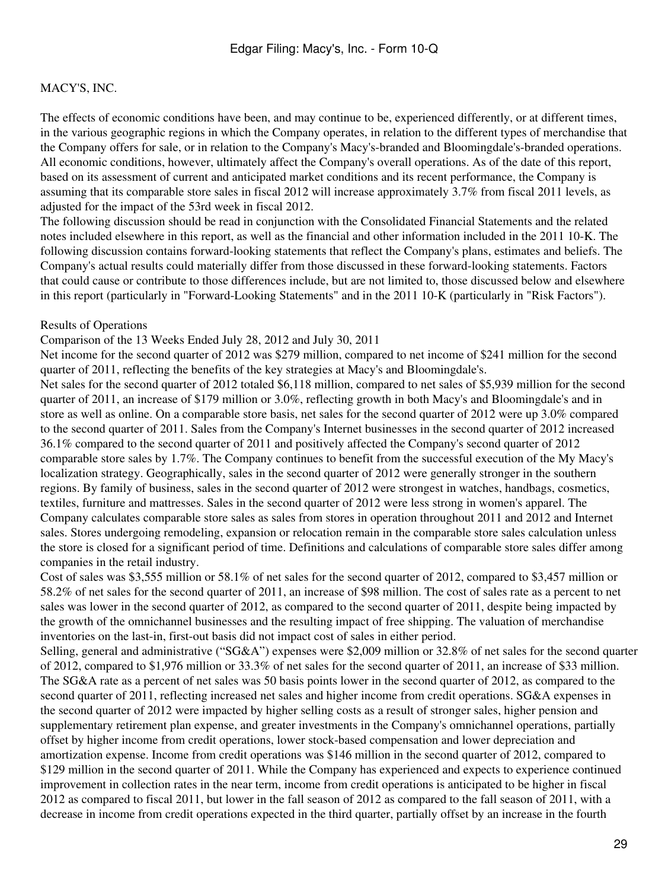The effects of economic conditions have been, and may continue to be, experienced differently, or at different times, in the various geographic regions in which the Company operates, in relation to the different types of merchandise that the Company offers for sale, or in relation to the Company's Macy's-branded and Bloomingdale's-branded operations. All economic conditions, however, ultimately affect the Company's overall operations. As of the date of this report, based on its assessment of current and anticipated market conditions and its recent performance, the Company is assuming that its comparable store sales in fiscal 2012 will increase approximately 3.7% from fiscal 2011 levels, as adjusted for the impact of the 53rd week in fiscal 2012.

The following discussion should be read in conjunction with the Consolidated Financial Statements and the related notes included elsewhere in this report, as well as the financial and other information included in the 2011 10-K. The following discussion contains forward-looking statements that reflect the Company's plans, estimates and beliefs. The Company's actual results could materially differ from those discussed in these forward-looking statements. Factors that could cause or contribute to those differences include, but are not limited to, those discussed below and elsewhere in this report (particularly in "Forward-Looking Statements" and in the 2011 10-K (particularly in "Risk Factors").

#### Results of Operations

#### Comparison of the 13 Weeks Ended July 28, 2012 and July 30, 2011

Net income for the second quarter of 2012 was \$279 million, compared to net income of \$241 million for the second quarter of 2011, reflecting the benefits of the key strategies at Macy's and Bloomingdale's.

Net sales for the second quarter of 2012 totaled \$6,118 million, compared to net sales of \$5,939 million for the second quarter of 2011, an increase of \$179 million or 3.0%, reflecting growth in both Macy's and Bloomingdale's and in store as well as online. On a comparable store basis, net sales for the second quarter of 2012 were up 3.0% compared to the second quarter of 2011. Sales from the Company's Internet businesses in the second quarter of 2012 increased 36.1% compared to the second quarter of 2011 and positively affected the Company's second quarter of 2012 comparable store sales by 1.7%. The Company continues to benefit from the successful execution of the My Macy's localization strategy. Geographically, sales in the second quarter of 2012 were generally stronger in the southern regions. By family of business, sales in the second quarter of 2012 were strongest in watches, handbags, cosmetics, textiles, furniture and mattresses. Sales in the second quarter of 2012 were less strong in women's apparel. The Company calculates comparable store sales as sales from stores in operation throughout 2011 and 2012 and Internet sales. Stores undergoing remodeling, expansion or relocation remain in the comparable store sales calculation unless the store is closed for a significant period of time. Definitions and calculations of comparable store sales differ among companies in the retail industry.

Cost of sales was \$3,555 million or 58.1% of net sales for the second quarter of 2012, compared to \$3,457 million or 58.2% of net sales for the second quarter of 2011, an increase of \$98 million. The cost of sales rate as a percent to net sales was lower in the second quarter of 2012, as compared to the second quarter of 2011, despite being impacted by the growth of the omnichannel businesses and the resulting impact of free shipping. The valuation of merchandise inventories on the last-in, first-out basis did not impact cost of sales in either period.

Selling, general and administrative ("SG&A") expenses were \$2,009 million or 32.8% of net sales for the second quarter of 2012, compared to \$1,976 million or 33.3% of net sales for the second quarter of 2011, an increase of \$33 million. The SG&A rate as a percent of net sales was 50 basis points lower in the second quarter of 2012, as compared to the second quarter of 2011, reflecting increased net sales and higher income from credit operations. SG&A expenses in the second quarter of 2012 were impacted by higher selling costs as a result of stronger sales, higher pension and supplementary retirement plan expense, and greater investments in the Company's omnichannel operations, partially offset by higher income from credit operations, lower stock-based compensation and lower depreciation and amortization expense. Income from credit operations was \$146 million in the second quarter of 2012, compared to \$129 million in the second quarter of 2011. While the Company has experienced and expects to experience continued improvement in collection rates in the near term, income from credit operations is anticipated to be higher in fiscal 2012 as compared to fiscal 2011, but lower in the fall season of 2012 as compared to the fall season of 2011, with a decrease in income from credit operations expected in the third quarter, partially offset by an increase in the fourth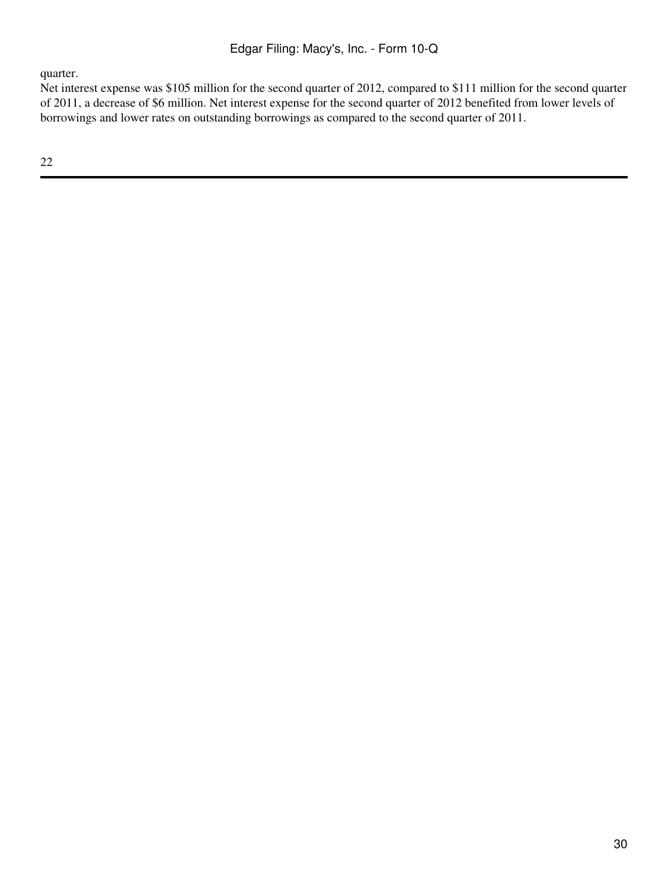quarter.

Net interest expense was \$105 million for the second quarter of 2012, compared to \$111 million for the second quarter of 2011, a decrease of \$6 million. Net interest expense for the second quarter of 2012 benefited from lower levels of borrowings and lower rates on outstanding borrowings as compared to the second quarter of 2011.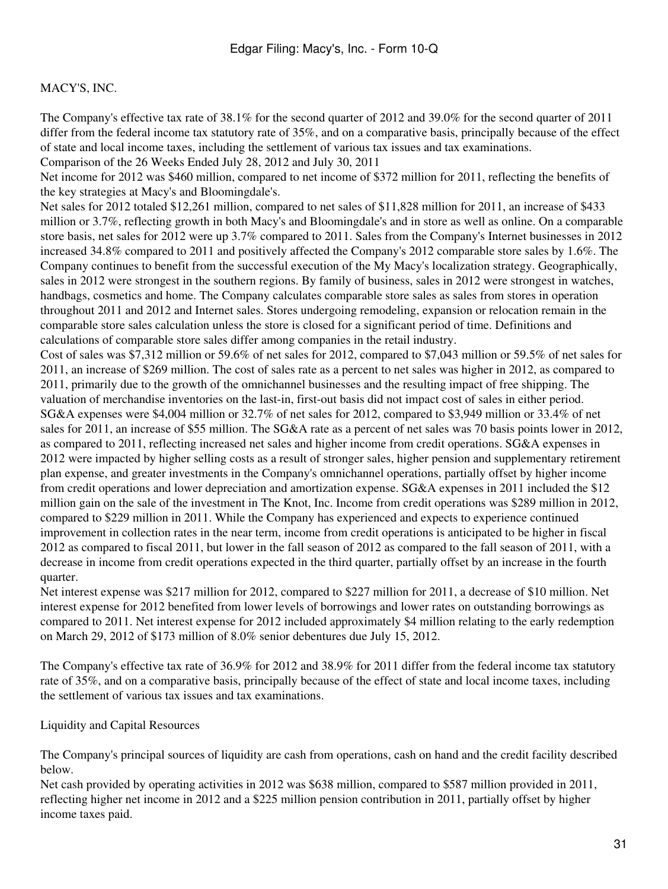The Company's effective tax rate of 38.1% for the second quarter of 2012 and 39.0% for the second quarter of 2011 differ from the federal income tax statutory rate of 35%, and on a comparative basis, principally because of the effect of state and local income taxes, including the settlement of various tax issues and tax examinations. Comparison of the 26 Weeks Ended July 28, 2012 and July 30, 2011

Net income for 2012 was \$460 million, compared to net income of \$372 million for 2011, reflecting the benefits of the key strategies at Macy's and Bloomingdale's.

Net sales for 2012 totaled \$12,261 million, compared to net sales of \$11,828 million for 2011, an increase of \$433 million or 3.7%, reflecting growth in both Macy's and Bloomingdale's and in store as well as online. On a comparable store basis, net sales for 2012 were up 3.7% compared to 2011. Sales from the Company's Internet businesses in 2012 increased 34.8% compared to 2011 and positively affected the Company's 2012 comparable store sales by 1.6%. The Company continues to benefit from the successful execution of the My Macy's localization strategy. Geographically, sales in 2012 were strongest in the southern regions. By family of business, sales in 2012 were strongest in watches, handbags, cosmetics and home. The Company calculates comparable store sales as sales from stores in operation throughout 2011 and 2012 and Internet sales. Stores undergoing remodeling, expansion or relocation remain in the comparable store sales calculation unless the store is closed for a significant period of time. Definitions and calculations of comparable store sales differ among companies in the retail industry.

Cost of sales was \$7,312 million or 59.6% of net sales for 2012, compared to \$7,043 million or 59.5% of net sales for 2011, an increase of \$269 million. The cost of sales rate as a percent to net sales was higher in 2012, as compared to 2011, primarily due to the growth of the omnichannel businesses and the resulting impact of free shipping. The valuation of merchandise inventories on the last-in, first-out basis did not impact cost of sales in either period. SG&A expenses were \$4,004 million or 32.7% of net sales for 2012, compared to \$3,949 million or 33.4% of net sales for 2011, an increase of \$55 million. The SG&A rate as a percent of net sales was 70 basis points lower in 2012, as compared to 2011, reflecting increased net sales and higher income from credit operations. SG&A expenses in 2012 were impacted by higher selling costs as a result of stronger sales, higher pension and supplementary retirement plan expense, and greater investments in the Company's omnichannel operations, partially offset by higher income from credit operations and lower depreciation and amortization expense. SG&A expenses in 2011 included the \$12 million gain on the sale of the investment in The Knot, Inc. Income from credit operations was \$289 million in 2012, compared to \$229 million in 2011. While the Company has experienced and expects to experience continued improvement in collection rates in the near term, income from credit operations is anticipated to be higher in fiscal 2012 as compared to fiscal 2011, but lower in the fall season of 2012 as compared to the fall season of 2011, with a decrease in income from credit operations expected in the third quarter, partially offset by an increase in the fourth quarter.

Net interest expense was \$217 million for 2012, compared to \$227 million for 2011, a decrease of \$10 million. Net interest expense for 2012 benefited from lower levels of borrowings and lower rates on outstanding borrowings as compared to 2011. Net interest expense for 2012 included approximately \$4 million relating to the early redemption on March 29, 2012 of \$173 million of 8.0% senior debentures due July 15, 2012.

The Company's effective tax rate of 36.9% for 2012 and 38.9% for 2011 differ from the federal income tax statutory rate of 35%, and on a comparative basis, principally because of the effect of state and local income taxes, including the settlement of various tax issues and tax examinations.

#### Liquidity and Capital Resources

The Company's principal sources of liquidity are cash from operations, cash on hand and the credit facility described below.

Net cash provided by operating activities in 2012 was \$638 million, compared to \$587 million provided in 2011, reflecting higher net income in 2012 and a \$225 million pension contribution in 2011, partially offset by higher income taxes paid.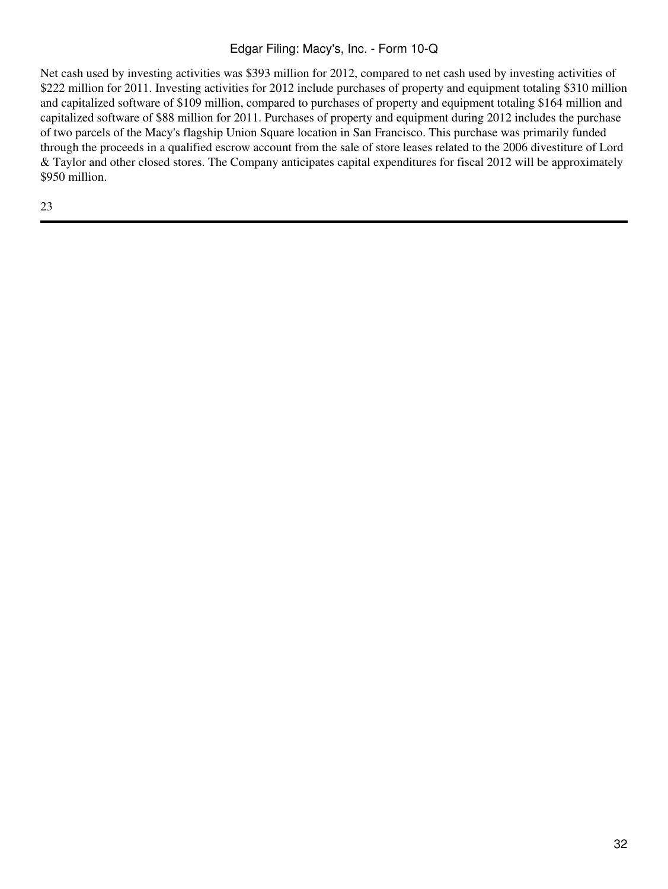Net cash used by investing activities was \$393 million for 2012, compared to net cash used by investing activities of \$222 million for 2011. Investing activities for 2012 include purchases of property and equipment totaling \$310 million and capitalized software of \$109 million, compared to purchases of property and equipment totaling \$164 million and capitalized software of \$88 million for 2011. Purchases of property and equipment during 2012 includes the purchase of two parcels of the Macy's flagship Union Square location in San Francisco. This purchase was primarily funded through the proceeds in a qualified escrow account from the sale of store leases related to the 2006 divestiture of Lord & Taylor and other closed stores. The Company anticipates capital expenditures for fiscal 2012 will be approximately \$950 million.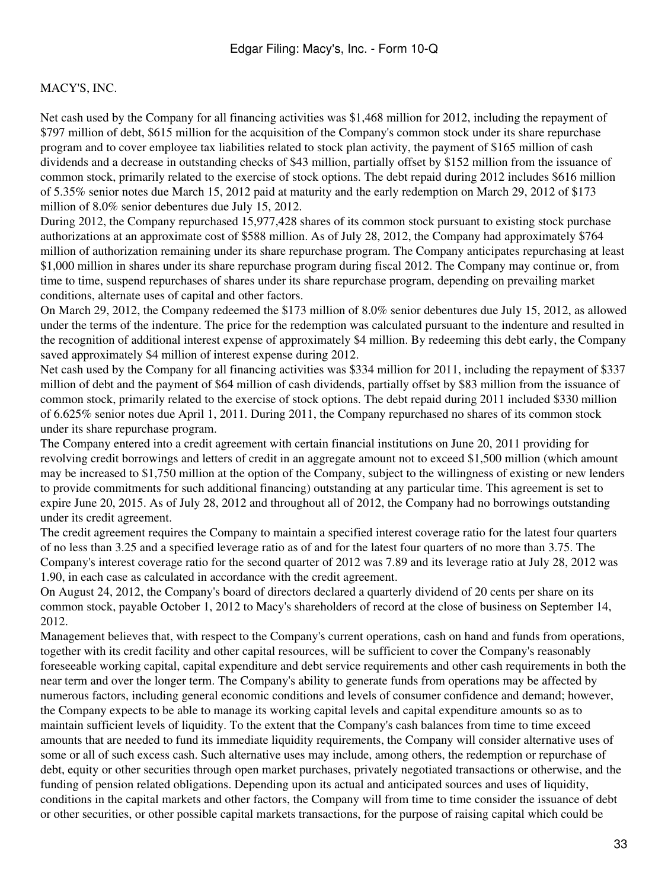Net cash used by the Company for all financing activities was \$1,468 million for 2012, including the repayment of \$797 million of debt, \$615 million for the acquisition of the Company's common stock under its share repurchase program and to cover employee tax liabilities related to stock plan activity, the payment of \$165 million of cash dividends and a decrease in outstanding checks of \$43 million, partially offset by \$152 million from the issuance of common stock, primarily related to the exercise of stock options. The debt repaid during 2012 includes \$616 million of 5.35% senior notes due March 15, 2012 paid at maturity and the early redemption on March 29, 2012 of \$173 million of 8.0% senior debentures due July 15, 2012.

During 2012, the Company repurchased 15,977,428 shares of its common stock pursuant to existing stock purchase authorizations at an approximate cost of \$588 million. As of July 28, 2012, the Company had approximately \$764 million of authorization remaining under its share repurchase program. The Company anticipates repurchasing at least \$1,000 million in shares under its share repurchase program during fiscal 2012. The Company may continue or, from time to time, suspend repurchases of shares under its share repurchase program, depending on prevailing market conditions, alternate uses of capital and other factors.

On March 29, 2012, the Company redeemed the \$173 million of 8.0% senior debentures due July 15, 2012, as allowed under the terms of the indenture. The price for the redemption was calculated pursuant to the indenture and resulted in the recognition of additional interest expense of approximately \$4 million. By redeeming this debt early, the Company saved approximately \$4 million of interest expense during 2012.

Net cash used by the Company for all financing activities was \$334 million for 2011, including the repayment of \$337 million of debt and the payment of \$64 million of cash dividends, partially offset by \$83 million from the issuance of common stock, primarily related to the exercise of stock options. The debt repaid during 2011 included \$330 million of 6.625% senior notes due April 1, 2011. During 2011, the Company repurchased no shares of its common stock under its share repurchase program.

The Company entered into a credit agreement with certain financial institutions on June 20, 2011 providing for revolving credit borrowings and letters of credit in an aggregate amount not to exceed \$1,500 million (which amount may be increased to \$1,750 million at the option of the Company, subject to the willingness of existing or new lenders to provide commitments for such additional financing) outstanding at any particular time. This agreement is set to expire June 20, 2015. As of July 28, 2012 and throughout all of 2012, the Company had no borrowings outstanding under its credit agreement.

The credit agreement requires the Company to maintain a specified interest coverage ratio for the latest four quarters of no less than 3.25 and a specified leverage ratio as of and for the latest four quarters of no more than 3.75. The Company's interest coverage ratio for the second quarter of 2012 was 7.89 and its leverage ratio at July 28, 2012 was 1.90, in each case as calculated in accordance with the credit agreement.

On August 24, 2012, the Company's board of directors declared a quarterly dividend of 20 cents per share on its common stock, payable October 1, 2012 to Macy's shareholders of record at the close of business on September 14, 2012.

Management believes that, with respect to the Company's current operations, cash on hand and funds from operations, together with its credit facility and other capital resources, will be sufficient to cover the Company's reasonably foreseeable working capital, capital expenditure and debt service requirements and other cash requirements in both the near term and over the longer term. The Company's ability to generate funds from operations may be affected by numerous factors, including general economic conditions and levels of consumer confidence and demand; however, the Company expects to be able to manage its working capital levels and capital expenditure amounts so as to maintain sufficient levels of liquidity. To the extent that the Company's cash balances from time to time exceed amounts that are needed to fund its immediate liquidity requirements, the Company will consider alternative uses of some or all of such excess cash. Such alternative uses may include, among others, the redemption or repurchase of debt, equity or other securities through open market purchases, privately negotiated transactions or otherwise, and the funding of pension related obligations. Depending upon its actual and anticipated sources and uses of liquidity, conditions in the capital markets and other factors, the Company will from time to time consider the issuance of debt or other securities, or other possible capital markets transactions, for the purpose of raising capital which could be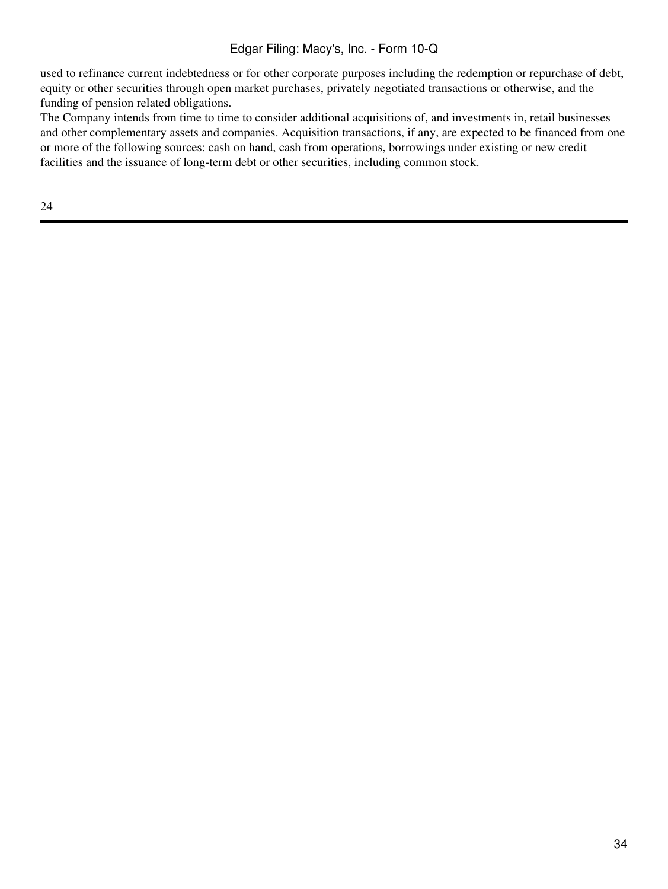used to refinance current indebtedness or for other corporate purposes including the redemption or repurchase of debt, equity or other securities through open market purchases, privately negotiated transactions or otherwise, and the funding of pension related obligations.

The Company intends from time to time to consider additional acquisitions of, and investments in, retail businesses and other complementary assets and companies. Acquisition transactions, if any, are expected to be financed from one or more of the following sources: cash on hand, cash from operations, borrowings under existing or new credit facilities and the issuance of long-term debt or other securities, including common stock.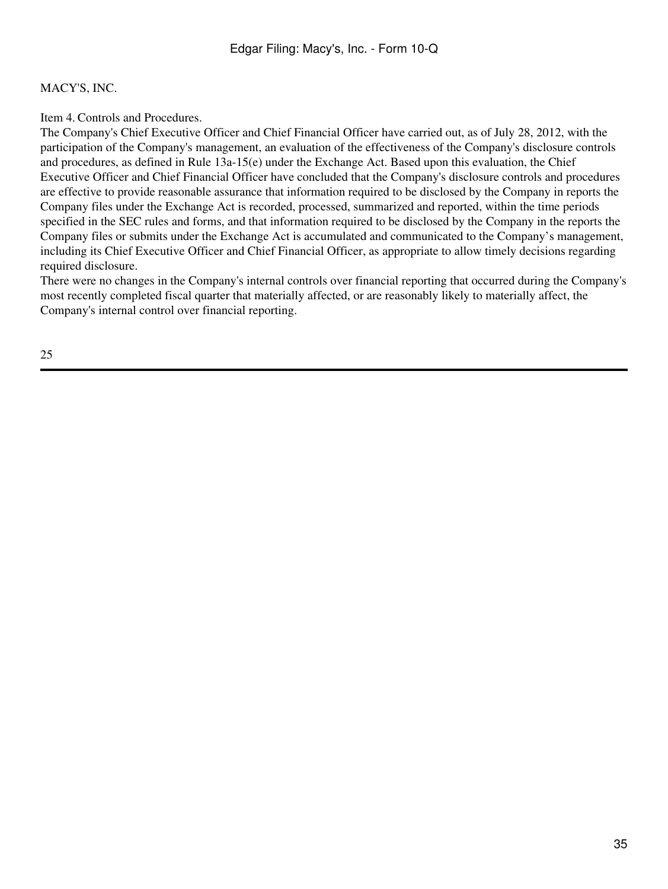Item 4. Controls and Procedures.

The Company's Chief Executive Officer and Chief Financial Officer have carried out, as of July 28, 2012, with the participation of the Company's management, an evaluation of the effectiveness of the Company's disclosure controls and procedures, as defined in Rule 13a-15(e) under the Exchange Act. Based upon this evaluation, the Chief Executive Officer and Chief Financial Officer have concluded that the Company's disclosure controls and procedures are effective to provide reasonable assurance that information required to be disclosed by the Company in reports the Company files under the Exchange Act is recorded, processed, summarized and reported, within the time periods specified in the SEC rules and forms, and that information required to be disclosed by the Company in the reports the Company files or submits under the Exchange Act is accumulated and communicated to the Company's management, including its Chief Executive Officer and Chief Financial Officer, as appropriate to allow timely decisions regarding required disclosure.

There were no changes in the Company's internal controls over financial reporting that occurred during the Company's most recently completed fiscal quarter that materially affected, or are reasonably likely to materially affect, the Company's internal control over financial reporting.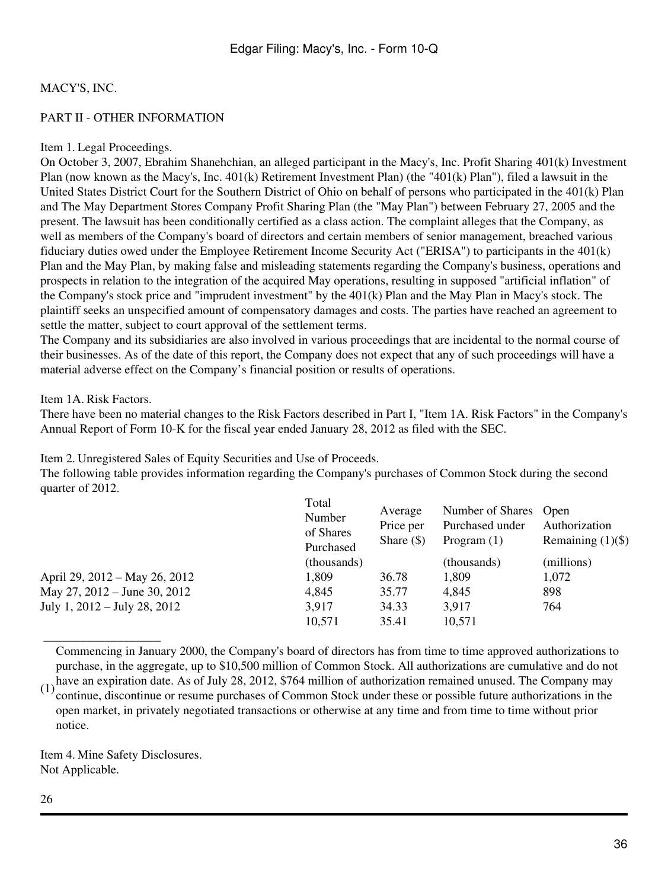### PART II - OTHER INFORMATION

#### Item 1. Legal Proceedings.

On October 3, 2007, Ebrahim Shanehchian, an alleged participant in the Macy's, Inc. Profit Sharing 401(k) Investment Plan (now known as the Macy's, Inc. 401(k) Retirement Investment Plan) (the "401(k) Plan"), filed a lawsuit in the United States District Court for the Southern District of Ohio on behalf of persons who participated in the 401(k) Plan and The May Department Stores Company Profit Sharing Plan (the "May Plan") between February 27, 2005 and the present. The lawsuit has been conditionally certified as a class action. The complaint alleges that the Company, as well as members of the Company's board of directors and certain members of senior management, breached various fiduciary duties owed under the Employee Retirement Income Security Act ("ERISA") to participants in the 401(k) Plan and the May Plan, by making false and misleading statements regarding the Company's business, operations and prospects in relation to the integration of the acquired May operations, resulting in supposed "artificial inflation" of the Company's stock price and "imprudent investment" by the 401(k) Plan and the May Plan in Macy's stock. The plaintiff seeks an unspecified amount of compensatory damages and costs. The parties have reached an agreement to settle the matter, subject to court approval of the settlement terms.

The Company and its subsidiaries are also involved in various proceedings that are incidental to the normal course of their businesses. As of the date of this report, the Company does not expect that any of such proceedings will have a material adverse effect on the Company's financial position or results of operations.

#### Item 1A. Risk Factors.

There have been no material changes to the Risk Factors described in Part I, "Item 1A. Risk Factors" in the Company's Annual Report of Form 10-K for the fiscal year ended January 28, 2012 as filed with the SEC.

Item 2. Unregistered Sales of Equity Securities and Use of Proceeds.

The following table provides information regarding the Company's purchases of Common Stock during the second quarter of 2012.

|                               | Total<br>Number<br>of Shares<br>Purchased | Average<br>Price per<br>Share $(\$)$ | Number of Shares Open<br>Purchased under<br>Program $(1)$ | Authorization<br>Remaining $(1)(\$)$ |
|-------------------------------|-------------------------------------------|--------------------------------------|-----------------------------------------------------------|--------------------------------------|
|                               | (thousands)                               |                                      | (thousands)                                               | (millions)                           |
| April 29, 2012 – May 26, 2012 | 1,809                                     | 36.78                                | 1,809                                                     | 1,072                                |
| May 27, 2012 – June 30, 2012  | 4,845                                     | 35.77                                | 4,845                                                     | 898                                  |
| July 1, 2012 – July 28, 2012  | 3,917                                     | 34.33                                | 3,917                                                     | 764                                  |
|                               | 10,571                                    | 35.41                                | 10,571                                                    |                                      |

 \_\_\_\_\_\_\_\_\_\_\_\_\_\_\_\_\_\_\_ Commencing in January 2000, the Company's board of directors has from time to time approved authorizations to purchase, in the aggregate, up to \$10,500 million of Common Stock. All authorizations are cumulative and do not

(1) have an expiration date. As of July 28, 2012, \$764 million of authorization remained unused. The Company may  $(1)$  continue discontinue or recurse numbers of Common Steels under these or pessible future suborizations continue, discontinue or resume purchases of Common Stock under these or possible future authorizations in the open market, in privately negotiated transactions or otherwise at any time and from time to time without prior notice.

Item 4. Mine Safety Disclosures. Not Applicable.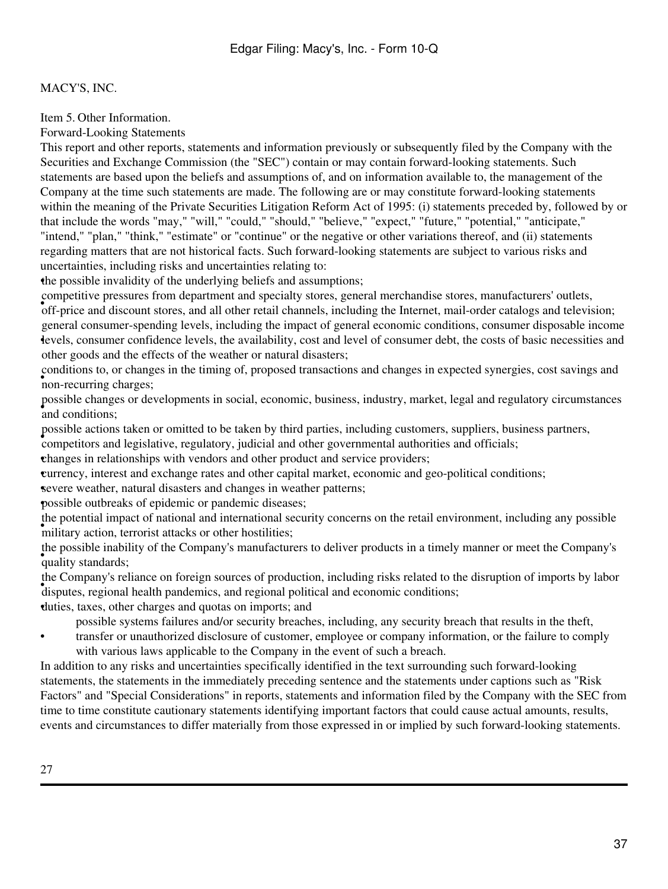Item 5. Other Information.

Forward-Looking Statements

This report and other reports, statements and information previously or subsequently filed by the Company with the Securities and Exchange Commission (the "SEC") contain or may contain forward-looking statements. Such statements are based upon the beliefs and assumptions of, and on information available to, the management of the Company at the time such statements are made. The following are or may constitute forward-looking statements within the meaning of the Private Securities Litigation Reform Act of 1995: (i) statements preceded by, followed by or that include the words "may," "will," "could," "should," "believe," "expect," "future," "potential," "anticipate," "intend," "plan," "think," "estimate" or "continue" or the negative or other variations thereof, and (ii) statements regarding matters that are not historical facts. Such forward-looking statements are subject to various risks and uncertainties, including risks and uncertainties relating to:

•the possible invalidity of the underlying beliefs and assumptions;

For price and discount stores, and all other retail channels, including the Internet, mail-order catalogs and television; competitive pressures from department and specialty stores, general merchandise stores, manufacturers' outlets, • levels, consumer confidence levels, the availability, cost and level of consumer debt, the costs of basic necessities and general consumer-spending levels, including the impact of general economic conditions, consumer disposable income other goods and the effects of the weather or natural disasters;

• **non-recurring charges**; conditions to, or changes in the timing of, proposed transactions and changes in expected synergies, cost savings and

• and conditions; possible changes or developments in social, economic, business, industry, market, legal and regulatory circumstances

possible actions taken or omitted to be taken by third parties, including customers, suppliers, business partners,

• competitors and legislative, regulatory, judicial and other governmental authorities and officials;

•changes in relationships with vendors and other product and service providers;

•currency, interest and exchange rates and other capital market, economic and geo-political conditions;

•severe weather, natural disasters and changes in weather patterns;

•possible outbreaks of epidemic or pandemic diseases;

military action, terrorist attacks or other hostilities; the potential impact of national and international security concerns on the retail environment, including any possible

ence possible made. the possible inability of the Company's manufacturers to deliver products in a timely manner or meet the Company's

disputes, regional health pandemics, and regional political and economic conditions; the Company's reliance on foreign sources of production, including risks related to the disruption of imports by labor

•duties, taxes, other charges and quotas on imports; and

possible systems failures and/or security breaches, including, any security breach that results in the theft,

• transfer or unauthorized disclosure of customer, employee or company information, or the failure to comply with various laws applicable to the Company in the event of such a breach.

In addition to any risks and uncertainties specifically identified in the text surrounding such forward-looking statements, the statements in the immediately preceding sentence and the statements under captions such as "Risk Factors" and "Special Considerations" in reports, statements and information filed by the Company with the SEC from time to time constitute cautionary statements identifying important factors that could cause actual amounts, results, events and circumstances to differ materially from those expressed in or implied by such forward-looking statements.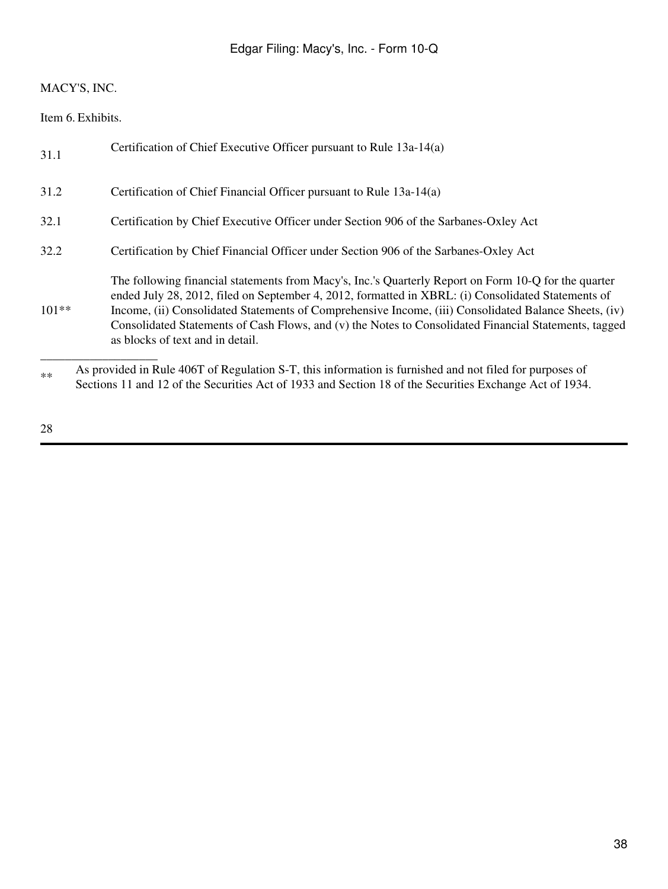Item 6. Exhibits.

| 31.1    | Certification of Chief Executive Officer pursuant to Rule 13a-14(a)                                                                                                                                                                                                                                                                                                                                                                                              |
|---------|------------------------------------------------------------------------------------------------------------------------------------------------------------------------------------------------------------------------------------------------------------------------------------------------------------------------------------------------------------------------------------------------------------------------------------------------------------------|
| 31.2    | Certification of Chief Financial Officer pursuant to Rule 13a-14(a)                                                                                                                                                                                                                                                                                                                                                                                              |
| 32.1    | Certification by Chief Executive Officer under Section 906 of the Sarbanes-Oxley Act                                                                                                                                                                                                                                                                                                                                                                             |
| 32.2    | Certification by Chief Financial Officer under Section 906 of the Sarbanes-Oxley Act                                                                                                                                                                                                                                                                                                                                                                             |
| $101**$ | The following financial statements from Macy's, Inc.'s Quarterly Report on Form 10-Q for the quarter<br>ended July 28, 2012, filed on September 4, 2012, formatted in XBRL: (i) Consolidated Statements of<br>Income, (ii) Consolidated Statements of Comprehensive Income, (iii) Consolidated Balance Sheets, (iv)<br>Consolidated Statements of Cash Flows, and (v) the Notes to Consolidated Financial Statements, tagged<br>as blocks of text and in detail. |
| $**$    | As provided in Rule 406T of Regulation S-T, this information is furnished and not filed for purposes of<br>Sections 11 and 12 of the Securities Act of 1933 and Section 18 of the Securities Exchange Act of 1934.                                                                                                                                                                                                                                               |